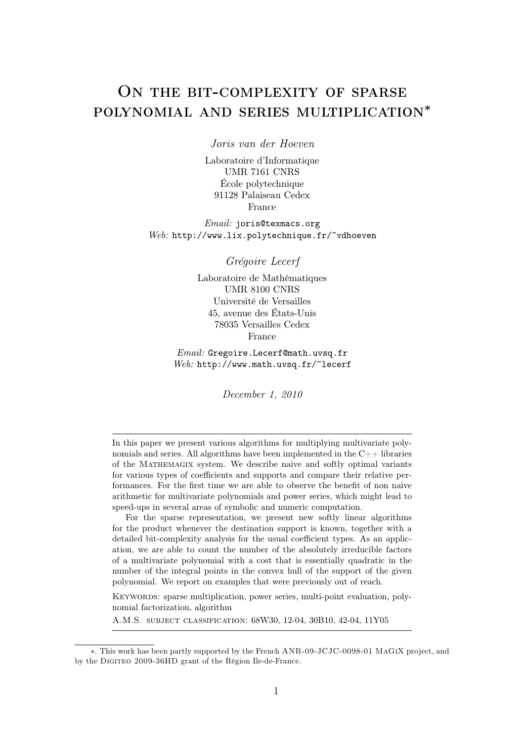# ON THE BIT-COMPLEXITY OF SPARSE polynomial and series multiplication<sup>∗</sup>

*Joris van der Hoeven*

Laboratoire d'Informatique UMR 7161 CNRS École polytechnique 91128 Palaiseau Cedex France

*Email:* joris@texmacs.org *Web:* http://www.lix.polytechnique.fr/~vdhoeven

*Grégoire Lecerf*

Laboratoire de Mathématiques UMR 8100 CNRS Université de Versailles 45, avenue des États-Unis 78035 Versailles Cedex France

*Email:* Gregoire.Lecerf@math.uvsq.fr *Web:* http://www.math.uvsq.fr/~lecerf

*December 1, 2010*

In this paper we present various algorithms for multiplying multivariate polynomials and series. All algorithms have been implemented in the  $C++$  libraries of the Mathemagix system. We describe naive and softly optimal variants for various types of coefficients and supports and compare their relative performances. For the first time we are able to observe the benefit of non naive arithmetic for multivariate polynomials and power series, which might lead to speed-ups in several areas of symbolic and numeric computation.

For the sparse representation, we present new softly linear algorithms for the product whenever the destination support is known, together with a detailed bit-complexity analysis for the usual coefficient types. As an application, we are able to count the number of the absolutely irreducible factors of a multivariate polynomial with a cost that is essentially quadratic in the number of the integral points in the convex hull of the support of the given polynomial. We report on examples that were previously out of reach.

KEYWORDS: sparse multiplication, power series, multi-point evaluation, polynomial factorization, algorithm

A.M.S. subject classification: 68W30, 12-04, 30B10, 42-04, 11Y05

<sup>∗</sup>. This work has been partly supported by the French ANR-09-JCJC-0098-01 MaGiX project, and by the DIGITEO 2009-36HD grant of the Région Ile-de-France.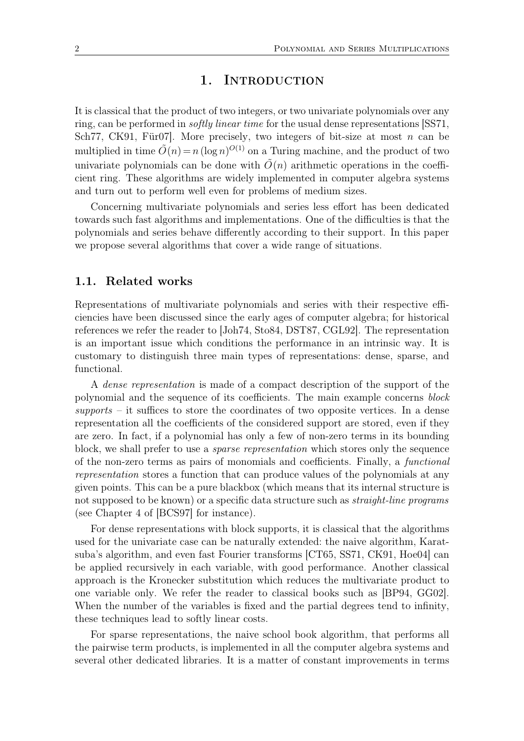### 1. INTRODUCTION

It is classical that the product of two integers, or two univariate polynomials over any ring, can be performed in *softly linear time* for the usual dense representations [SS71, Sch77, CK91, Für07. More precisely, two integers of bit-size at most  $n$  can be multiplied in time  $\tilde{O}(n) = n \left(\log n\right)^{O(1)}$  on a Turing machine, and the product of two univariate polynomials can be done with  $\tilde{O}(n)$  arithmetic operations in the coefficient ring. These algorithms are widely implemented in computer algebra systems and turn out to perform well even for problems of medium sizes.

Concerning multivariate polynomials and series less effort has been dedicated towards such fast algorithms and implementations. One of the difficulties is that the polynomials and series behave differently according to their support. In this paper we propose several algorithms that cover a wide range of situations.

#### **1.1. Related works**

Representations of multivariate polynomials and series with their respective efficiencies have been discussed since the early ages of computer algebra; for historical references we refer the reader to [Joh74, Sto84, DST87, CGL92]. The representation is an important issue which conditions the performance in an intrinsic way. It is customary to distinguish three main types of representations: dense, sparse, and functional.

A *dense representation* is made of a compact description of the support of the polynomial and the sequence of its coefficients. The main example concerns *block supports* – it suffices to store the coordinates of two opposite vertices. In a dense representation all the coefficients of the considered support are stored, even if they are zero. In fact, if a polynomial has only a few of non-zero terms in its bounding block, we shall prefer to use a *sparse representation* which stores only the sequence of the non-zero terms as pairs of monomials and coefficients. Finally, a *functional representation* stores a function that can produce values of the polynomials at any given points. This can be a pure blackbox (which means that its internal structure is not supposed to be known) or a specific data structure such as *straight-line programs* (see Chapter 4 of [BCS97] for instance).

For dense representations with block supports, it is classical that the algorithms used for the univariate case can be naturally extended: the naive algorithm, Karatsuba's algorithm, and even fast Fourier transforms [CT65, SS71, CK91, Hoe04] can be applied recursively in each variable, with good performance. Another classical approach is the Kronecker substitution which reduces the multivariate product to one variable only. We refer the reader to classical books such as [BP94, GG02]. When the number of the variables is fixed and the partial degrees tend to infinity, these techniques lead to softly linear costs.

For sparse representations, the naive school book algorithm, that performs all the pairwise term products, is implemented in all the computer algebra systems and several other dedicated libraries. It is a matter of constant improvements in terms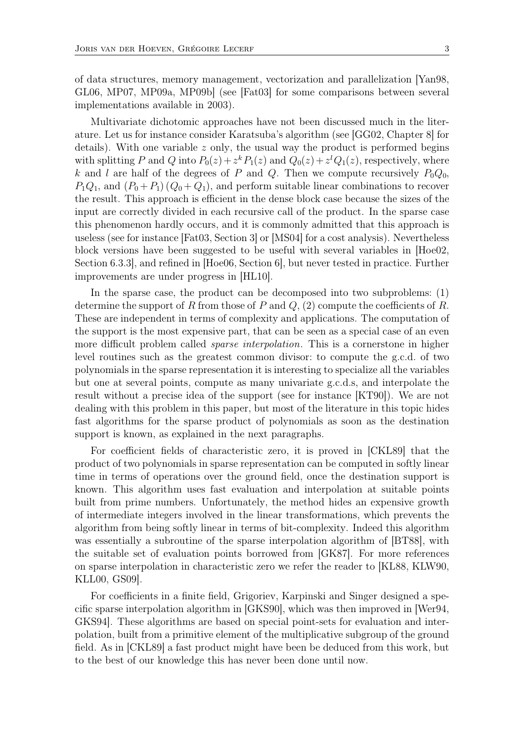of data structures, memory management, vectorization and parallelization [Yan98, GL06, MP07, MP09a, MP09b] (see [Fat03] for some comparisons between several implementations available in 2003).

Multivariate dichotomic approaches have not been discussed much in the literature. Let us for instance consider Karatsuba's algorithm (see [GG02, Chapter 8] for details). With one variable  $z$  only, the usual way the product is performed begins with splitting P and Q into  $P_0(z) + z^k P_1(z)$  and  $Q_0(z) + z^l Q_1(z)$ , respectively, where k and l are half of the degrees of P and Q. Then we compute recursively  $P_0Q_0$ ,  $P_1Q_1$ , and  $(P_0+P_1)(Q_0+Q_1)$ , and perform suitable linear combinations to recover the result. This approach is efficient in the dense block case because the sizes of the input are correctly divided in each recursive call of the product. In the sparse case this phenomenon hardly occurs, and it is commonly admitted that this approach is useless (see for instance [Fat03, Section 3] or [MS04] for a cost analysis). Nevertheless block versions have been suggested to be useful with several variables in [Hoe02, Section 6.3.3], and refined in [Hoe06, Section 6], but never tested in practice. Further improvements are under progress in [HL10].

In the sparse case, the product can be decomposed into two subproblems: (1) determine the support of R from those of P and  $Q$ , (2) compute the coefficients of R. These are independent in terms of complexity and applications. The computation of the support is the most expensive part, that can be seen as a special case of an even more difficult problem called *sparse interpolation*. This is a cornerstone in higher level routines such as the greatest common divisor: to compute the g.c.d. of two polynomials in the sparse representation it is interesting to specialize all the variables but one at several points, compute as many univariate g.c.d.s, and interpolate the result without a precise idea of the support (see for instance [KT90]). We are not dealing with this problem in this paper, but most of the literature in this topic hides fast algorithms for the sparse product of polynomials as soon as the destination support is known, as explained in the next paragraphs.

For coefficient fields of characteristic zero, it is proved in [CKL89] that the product of two polynomials in sparse representation can be computed in softly linear time in terms of operations over the ground field, once the destination support is known. This algorithm uses fast evaluation and interpolation at suitable points built from prime numbers. Unfortunately, the method hides an expensive growth of intermediate integers involved in the linear transformations, which prevents the algorithm from being softly linear in terms of bit-complexity. Indeed this algorithm was essentially a subroutine of the sparse interpolation algorithm of [BT88], with the suitable set of evaluation points borrowed from [GK87]. For more references on sparse interpolation in characteristic zero we refer the reader to [KL88, KLW90, KLL00, GS09].

For coefficients in a finite field, Grigoriev, Karpinski and Singer designed a specific sparse interpolation algorithm in [GKS90], which was then improved in [Wer94, GKS94]. These algorithms are based on special point-sets for evaluation and interpolation, built from a primitive element of the multiplicative subgroup of the ground field. As in [CKL89] a fast product might have been be deduced from this work, but to the best of our knowledge this has never been done until now.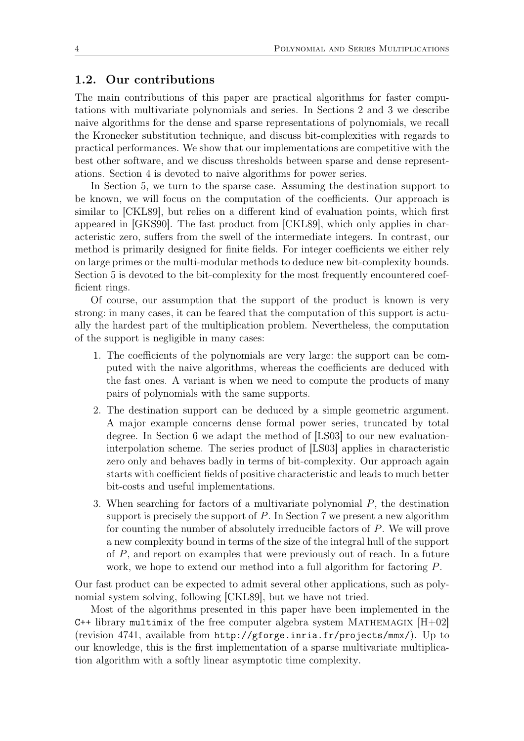### **1.2. Our contributions**

The main contributions of this paper are practical algorithms for faster computations with multivariate polynomials and series. In Sections 2 and 3 we describe naive algorithms for the dense and sparse representations of polynomials, we recall the Kronecker substitution technique, and discuss bit-complexities with regards to practical performances. We show that our implementations are competitive with the best other software, and we discuss thresholds between sparse and dense representations. Section 4 is devoted to naive algorithms for power series.

In Section 5, we turn to the sparse case. Assuming the destination support to be known, we will focus on the computation of the coefficients. Our approach is similar to [CKL89], but relies on a different kind of evaluation points, which first appeared in [GKS90]. The fast product from [CKL89], which only applies in characteristic zero, suffers from the swell of the intermediate integers. In contrast, our method is primarily designed for finite fields. For integer coefficients we either rely on large primes or the multi-modular methods to deduce new bit-complexity bounds. Section 5 is devoted to the bit-complexity for the most frequently encountered coefficient rings.

Of course, our assumption that the support of the product is known is very strong: in many cases, it can be feared that the computation of this support is actually the hardest part of the multiplication problem. Nevertheless, the computation of the support is negligible in many cases:

- 1. The coefficients of the polynomials are very large: the support can be computed with the naive algorithms, whereas the coefficients are deduced with the fast ones. A variant is when we need to compute the products of many pairs of polynomials with the same supports.
- 2. The destination support can be deduced by a simple geometric argument. A major example concerns dense formal power series, truncated by total degree. In Section 6 we adapt the method of [LS03] to our new evaluationinterpolation scheme. The series product of [LS03] applies in characteristic zero only and behaves badly in terms of bit-complexity. Our approach again starts with coefficient fields of positive characteristic and leads to much better bit-costs and useful implementations.
- 3. When searching for factors of a multivariate polynomial  $P$ , the destination support is precisely the support of  $P$ . In Section 7 we present a new algorithm for counting the number of absolutely irreducible factors of P. We will prove a new complexity bound in terms of the size of the integral hull of the support of P, and report on examples that were previously out of reach. In a future work, we hope to extend our method into a full algorithm for factoring P.

Our fast product can be expected to admit several other applications, such as polynomial system solving, following [CKL89], but we have not tried.

Most of the algorithms presented in this paper have been implemented in the C++ library multimix of the free computer algebra system MATHEMAGIX  $[H+02]$ (revision 4741, available from http://gforge.inria.fr/projects/mmx/). Up to our knowledge, this is the first implementation of a sparse multivariate multiplication algorithm with a softly linear asymptotic time complexity.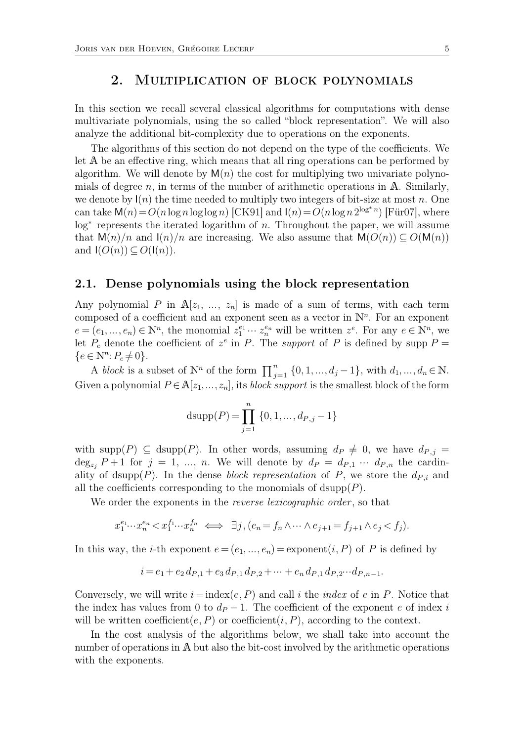### 2. Multiplication of block polynomials

In this section we recall several classical algorithms for computations with dense multivariate polynomials, using the so called "block representation". We will also analyze the additional bit-complexity due to operations on the exponents.

The algorithms of this section do not depend on the type of the coefficients. We let A be an effective ring, which means that all ring operations can be performed by algorithm. We will denote by  $M(n)$  the cost for multiplying two univariate polynomials of degree  $n$ , in terms of the number of arithmetic operations in  $A$ . Similarly, we denote by  $I(n)$  the time needed to multiply two integers of bit-size at most n. One can take  $\mathsf{M}(n) = O(n \log n \log \log n)$  [CK91] and  $\mathsf{I}(n) = O(n \log n 2^{\log^* n})$  [Für07], where log<sup>∗</sup> represents the iterated logarithm of *n*. Throughout the paper, we will assume that  $M(n)/n$  and  $I(n)/n$  are increasing. We also assume that  $M(O(n)) \subseteq O(M(n))$ and  $I(O(n)) \subseteq O(I(n))$ .

#### **2.1. Dense polynomials using the block representation**

Any polynomial P in  $A[z_1, \ldots, z_n]$  is made of a sum of terms, with each term composed of a coefficient and an exponent seen as a vector in  $\mathbb{N}^n$ . For an exponent  $e = (e_1, ..., e_n) \in \mathbb{N}^n$ , the monomial  $z_1^{e_1} \cdots z_n^{e_n}$  will be written  $z^e$ . For any  $e \in \mathbb{N}^n$ , we let  $P_e$  denote the coefficient of  $z^e$  in P. The *support* of P is defined by supp  $P =$  $\{e \in \mathbb{N}^n : P_e \neq 0\}.$ 

A *block* is a subset of  $\mathbb{N}^n$  of the form  $\prod_{j=1}^n$  $_{j=1}^{n}$  {0, 1, ...,  $d_j - 1$ }, with  $d_1, ..., d_n \in \mathbb{N}$ . Given a polynomial  $P \in \mathbb{A}[z_1, \ldots, z_n]$ , its *block support* is the smallest block of the form

$$
dsupp(P) = \prod_{j=1}^{n} \{0, 1, ..., d_{P,j} - 1\}
$$

with supp $(P) \subseteq \text{dsupp}(P)$ . In other words, assuming  $d_P \neq 0$ , we have  $d_{P,j} =$  $\deg_{z_i} P + 1$  for  $j = 1, \ldots, n$ . We will denote by  $d_P = d_{P,1} \cdots d_{P,n}$  the cardinality of dsupp(P). In the dense *block representation* of P, we store the  $d_{P,i}$  and all the coefficients corresponding to the monomials of  $\text{dsupp}(P)$ .

We order the exponents in the *reverse lexicographic order* , so that

$$
x_1^{e_1}\cdots x_n^{e_n} < x_1^{f_1}\cdots x_n^{f_n} \iff \exists j, (e_n = f_n \wedge \cdots \wedge e_{j+1} = f_{j+1} \wedge e_j < f_j).
$$

In this way, the *i*-th exponent  $e = (e_1, ..., e_n) =$  exponent  $(i, P)$  of P is defined by

$$
i = e_1 + e_2 d_{P,1} + e_3 d_{P,1} d_{P,2} + \dots + e_n d_{P,1} d_{P,2} \cdots d_{P,n-1}.
$$

Conversely, we will write  $i = \text{index}(e, P)$  and call i the *index* of e in P. Notice that the index has values from 0 to  $d_P - 1$ . The coefficient of the exponent e of index i will be written coefficient $(e, P)$  or coefficient $(i, P)$ , according to the context.

In the cost analysis of the algorithms below, we shall take into account the number of operations in A but also the bit-cost involved by the arithmetic operations with the exponents.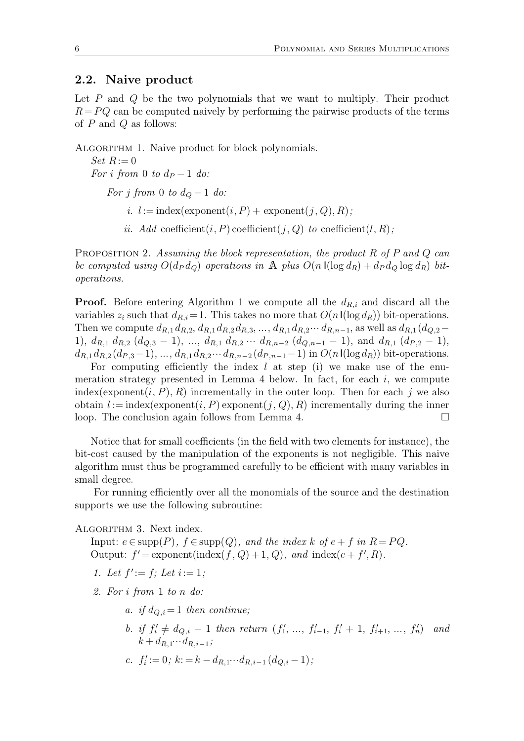### **2.2. Naive product**

Let P and Q be the two polynomials that we want to multiply. Their product  $R = PQ$  can be computed naively by performing the pairwise products of the terms of  $P$  and  $Q$  as follows:

ALGORITHM 1. Naive product for block polynomials.

 $Set R := 0$ *For i from* 0 *to*  $d_P - 1$  *do:* 

*For j from* 0 *to*  $d_Q - 1$  *do:* 

- *i.*  $l := \text{index}(\text{exponent}(i, P) + \text{exponent}(j, Q), R)$ ;
- *ii.* Add coefficient $(i, P)$  coefficient $(j, Q)$  *to* coefficient $(l, R)$ ;

Proposition 2. *Assuming the block representation, the product* R *of* P *and* Q *can be computed using*  $O(d_P d_Q)$  *operations in* A *plus*  $O(n \cdot l(\log d_R) + d_P d_Q \log d_R)$  *bitoperations.*

**Proof.** Before entering Algorithm 1 we compute all the  $d_{R,i}$  and discard all the variables  $z_i$  such that  $d_{R,i}= 1$ . This takes no more that  $O(n \log d_R))$  bit-operations. Then we compute  $d_{R,1} d_{R,2}, d_{R,1} d_{R,2} d_{R,3}, ..., d_{R,1} d_{R,2} ... d_{R,n-1}$ , as well as  $d_{R,1} (d_{Q,2} -$ 1),  $d_{R,1}$   $d_{R,2}$   $(d_{Q,3} - 1)$ , ...,  $d_{R,1}$   $d_{R,2}$   $\cdots$   $d_{R,n-2}$   $(d_{Q,n-1} - 1)$ , and  $d_{R,1}$   $(d_{P,2} - 1)$ ,  $d_{R,1} d_{R,2} (d_{P,3}-1), ..., d_{R,1} d_{R,2} ... d_{R,n-2} (d_{P,n-1}-1)$  in  $O(n \log d_R))$  bit-operations.

For computing efficiently the index  $l$  at step (i) we make use of the enumeration strategy presented in Lemma  $4$  below. In fact, for each  $i$ , we compute index(exponent(i, P), R) incrementally in the outer loop. Then for each j we also obtain  $l := \text{index}(\text{exponent}(i, P) \text{exponent}(j, Q), R)$  incrementally during the inner loop. The conclusion again follows from Lemma 4.

Notice that for small coefficients (in the field with two elements for instance), the bit-cost caused by the manipulation of the exponents is not negligible. This naive algorithm must thus be programmed carefully to be efficient with many variables in small degree.

For running efficiently over all the monomials of the source and the destination supports we use the following subroutine:

ALGORITHM 3. Next index.

Input:  $e \in \text{supp}(P)$ ,  $f \in \text{supp}(Q)$ , and the index  $k$  of  $e + f$  in  $R = PQ$ . Output:  $f' =$  exponent(index(f, Q) + 1, Q), and index( $e + f', R$ ).

- *1. Let*  $f' := f$ ; Let  $i := 1$ ;
- *2. For* i *from* 1 *to* n *do:*
	- *a. if*  $d_{O,i} = 1$  *then continue*;
	- *b.* if  $f'_i \neq d_{Q,i} 1$  then return  $(f'_1, ..., f'_{i-1}, f'_i + 1, f'_{i+1}, ..., f'_n)$  and  $k + d_{R,1} \cdots d_{R,i-1};$

c. 
$$
f'_i := 0
$$
;  $k := k - d_{R,1} \cdots d_{R,i-1} (d_{Q,i} - 1)$ ;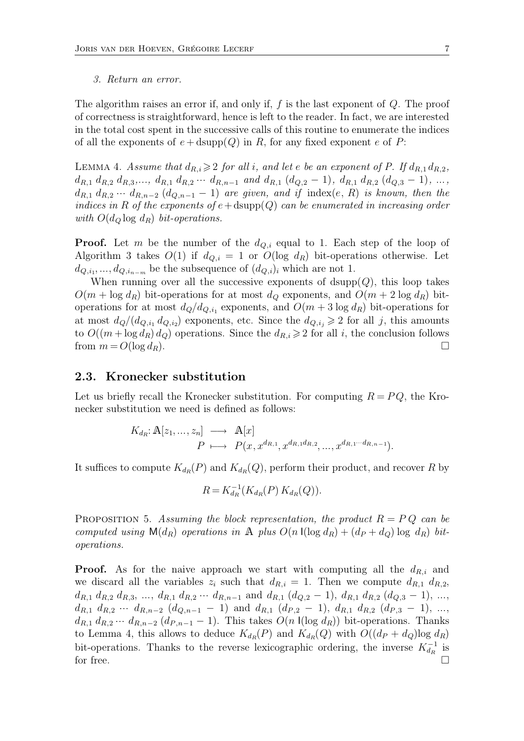The algorithm raises an error if, and only if,  $f$  is the last exponent of  $Q$ . The proof of correctness is straightforward, hence is left to the reader. In fact, we are interested in the total cost spent in the successive calls of this routine to enumerate the indices of all the exponents of  $e + \text{dsupp}(Q)$  in R, for any fixed exponent e of P:

LEMMA 4. *Assume that*  $d_{R,i} \geqslant 2$  *for all i*, and let *e be an exponent of P. If*  $d_{R,1} d_{R,2}$ *,*  $d_{R,1} d_{R,2} d_{R,3},..., d_{R,1} d_{R,2} \cdots d_{R,n-1}$  and  $d_{R,1} (d_{Q,2} - 1), d_{R,1} d_{R,2} (d_{Q,3} - 1), ...,$  $d_{R,1} d_{R,2} \cdots d_{R,n-2} (d_{Q,n-1}-1)$  *are given, and if* index $(e, R)$  *is known, then the indices in* R *of the exponents of*  $e + \text{dsupp}(Q)$  *can be enumerated in increasing order with*  $O(d_{Q} \log d_{R})$  *bit-operations.* 

**Proof.** Let m be the number of the  $d_{Q,i}$  equal to 1. Each step of the loop of Algorithm 3 takes  $O(1)$  if  $d_{Q,i} = 1$  or  $O(\log d_R)$  bit-operations otherwise. Let  $d_{Q,i_1},...,d_{Q,i_{n-m}}$  be the subsequence of  $(d_{Q,i})_i$  which are not 1.

When running over all the successive exponents of  $\text{dsupp}(Q)$ , this loop takes  $O(m + \log d_R)$  bit-operations for at most  $d_Q$  exponents, and  $O(m + 2 \log d_R)$  bitoperations for at most  $d_Q/d_{Q,i_1}$  exponents, and  $O(m+3 \log d_R)$  bit-operations for at most  $d_Q/(d_{Q,i_1} d_{Q,i_2})$  exponents, etc. Since the  $d_{Q,i_j} \geqslant 2$  for all j, this amounts to  $O((m + \log d_R) d_Q)$  operations. Since the  $d_{R,i} \geq 2$  for all i, the conclusion follows from  $m = O(\log d_R)$ .

#### **2.3. Kronecker substitution**

Let us briefly recall the Kronecker substitution. For computing  $R = PQ$ , the Kronecker substitution we need is defined as follows:

$$
K_{d_R}: \mathbb{A}[z_1, \ldots, z_n] \longrightarrow \mathbb{A}[x]
$$
  
\n
$$
P \longmapsto P(x, x^{d_{R,1}}, x^{d_{R,1}d_{R,2}}, \ldots, x^{d_{R,1} \cdots d_{R,n-1}}).
$$

It suffices to compute  $K_{d_R}(P)$  and  $K_{d_R}(Q)$ , perform their product, and recover R by

$$
R = K_{d_R}^{-1}(K_{d_R}(P) K_{d_R}(Q)).
$$

PROPOSITION 5. Assuming the block representation, the product  $R = PQ$  can be *computed using*  $M(d_R)$  *operations in* A *plus*  $O(n \log d_R) + (d_P + d_Q) \log d_R$  *bitoperations.*

**Proof.** As for the naive approach we start with computing all the  $d_{R,i}$  and we discard all the variables  $z_i$  such that  $d_{R,i} = 1$ . Then we compute  $d_{R,1} d_{R,2}$ ,  $d_{R,1} d_{R,2} d_{R,3}, ..., d_{R,1} d_{R,2} ... d_{R,n-1}$  and  $d_{R,1} (d_{Q,2} - 1), d_{R,1} d_{R,2} (d_{Q,3} - 1), ...,$  $d_{R,1}$   $d_{R,2}$   $\cdots$   $d_{R,n-2}$   $(d_{Q,n-1} - 1)$  and  $d_{R,1}$   $(d_{P,2} - 1)$ ,  $d_{R,1}$   $d_{R,2}$   $(d_{P,3} - 1)$ , ...,  $d_{R,1} d_{R,2} \cdots d_{R,n-2} (d_{P,n-1}-1)$ . This takes  $O(n \text{ } \text{l}(\log d_R))$  bit-operations. Thanks to Lemma 4, this allows to deduce  $K_{dR}(P)$  and  $K_{dR}(Q)$  with  $O((d_P + d_Q) \log d_R)$ bit-operations. Thanks to the reverse lexicographic ordering, the inverse  $K_{dR}^{-1}$  is for free.  $\Box$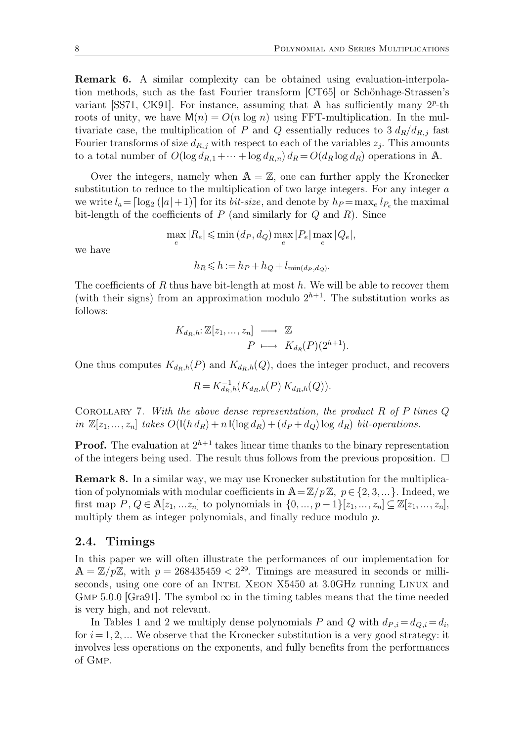**Remark 6.** A similar complexity can be obtained using evaluation-interpolation methods, such as the fast Fourier transform [CT65] or Schönhage-Strassen's variant [SS71, CK91]. For instance, assuming that A has sufficiently many  $2^p$ -th roots of unity, we have  $M(n) = O(n \log n)$  using FFT-multiplication. In the multivariate case, the multiplication of P and Q essentially reduces to  $3 d_R/d_{R,i}$  fast Fourier transforms of size  $d_{R,j}$  with respect to each of the variables  $z_j$ . This amounts to a total number of  $O(\log d_{R,1} + \cdots + \log d_{R,n}) d_R = O(d_R \log d_R)$  operations in A.

Over the integers, namely when  $A = \mathbb{Z}$ , one can further apply the Kronecker substitution to reduce to the multiplication of two large integers. For any integer a we write  $l_a = \lceil \log_2(|a|+1) \rceil$  for its *bit-size*, and denote by  $h_P = \max_e l_{P_e}$  the maximal bit-length of the coefficients of  $P$  (and similarly for  $Q$  and  $R$ ). Since

$$
\max_{e} |R_e| \leqslant \min\left(d_P, d_Q\right) \max_{e} |P_e| \max_{e} |Q_e|,
$$

we have

$$
h_R \leqslant h := h_P + h_Q + l_{\min(d_P, d_Q)}.
$$

The coefficients of  $R$  thus have bit-length at most  $h$ . We will be able to recover them (with their signs) from an approximation modulo  $2^{h+1}$ . The substitution works as follows:

$$
K_{d_R,h}: \mathbb{Z}[z_1,\ldots,z_n] \longrightarrow \mathbb{Z}
$$
  

$$
P \longmapsto K_{d_R}(P)(2^{h+1}).
$$

One thus computes  $K_{d_R,h}(P)$  and  $K_{d_R,h}(Q)$ , does the integer product, and recovers

$$
R = K_{d_R,h}^{-1}(K_{d_R,h}(P) K_{d_R,h}(Q)).
$$

Corollary 7. *With the above dense representation, the product* R *of* P *times* Q *in*  $\mathbb{Z}[z_1, ..., z_n]$  *takes*  $O(\mathsf{I}(h\,d_R) + n\mathsf{I}(\log d_R) + (d_P + d_Q)\log d_R)$  *bit-operations.* 

**Proof.** The evaluation at  $2^{h+1}$  takes linear time thanks to the binary representation of the integers being used. The result thus follows from the previous proposition.  $\Box$ 

**Remark 8.** In a similar way, we may use Kronecker substitution for the multiplication of polynomials with modular coefficients in  $\mathbb{A}=\mathbb{Z}/p\mathbb{Z}, p \in \{2,3,\ldots\}$ . Indeed, we first map  $P, Q \in \mathbb{A}[z_1, \dots z_n]$  to polynomials in  $\{0, \dots, p-1\}[z_1, \dots, z_n] \subseteq \mathbb{Z}[z_1, \dots, z_n]$ , multiply them as integer polynomials, and finally reduce modulo  $p$ .

#### **2.4. Timings**

In this paper we will often illustrate the performances of our implementation for  $A = \mathbb{Z}/p\mathbb{Z}$ , with  $p = 268435459 < 2^{29}$ . Timings are measured in seconds or milliseconds, using one core of an INTEL XEON X5450 at 3.0GHz running LINUX and GMP 5.0.0 [Gra91]. The symbol  $\infty$  in the timing tables means that the time needed is very high, and not relevant.

In Tables 1 and 2 we multiply dense polynomials P and Q with  $d_{P,i} = d_{Q,i} = d_i$ , for  $i = 1, 2, \ldots$  We observe that the Kronecker substitution is a very good strategy: it involves less operations on the exponents, and fully benefits from the performances of Gmp.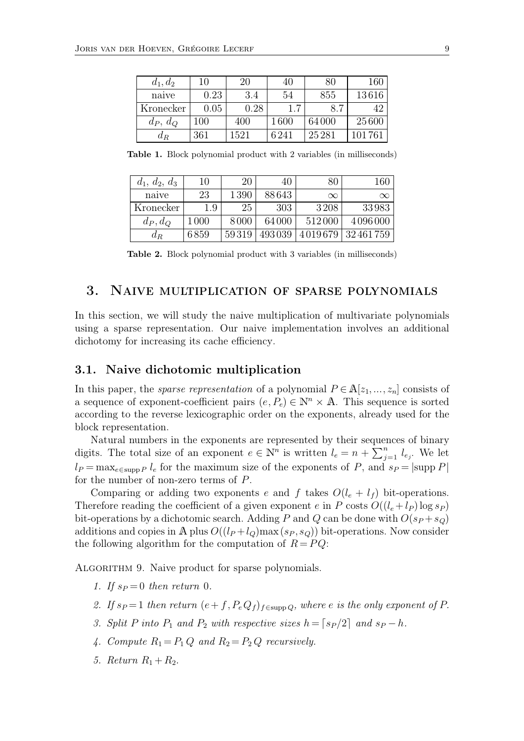| $d_1, d_2$ | 10   | 20   | 40       | 80    | 160     |
|------------|------|------|----------|-------|---------|
| naive      | 0.23 | 3.4  | 54       | 855   | 13616   |
| Kronecker  | 0.05 | 0.28 | 1.7      | 8.7   |         |
| $d_P, d_Q$ | 100  | 400  | $1\,600$ | 64000 | 25600   |
| $a_R$      | 361  | 1521 | 6241     | 25281 | 101 761 |

**Table 1.** Block polynomial product with 2 variables (in milliseconds)

| $d_1, d_2, d_3$ | 10       | 20    | 40     | 80       | 160      |
|-----------------|----------|-------|--------|----------|----------|
| naive           | 23       | 1390  | 88643  | $\infty$ | $\infty$ |
| Kronecker       | $1.9\,$  | 25    | 303    | 3208     | 33983    |
| $d_P, d_Q$      | $1\,000$ | 8000  | 64000  | 512000   | 4096000  |
| $a_R$           | 6859     | 59319 | 493039 | 4019679  | 32461759 |

**Table 2.** Block polynomial product with 3 variables (in milliseconds)

# 3. Naive multiplication of sparse polynomials

In this section, we will study the naive multiplication of multivariate polynomials using a sparse representation. Our naive implementation involves an additional dichotomy for increasing its cache efficiency.

## **3.1. Naive dichotomic multiplication**

In this paper, the *sparse representation* of a polynomial  $P \in \mathbb{A}[z_1, \ldots, z_n]$  consists of a sequence of exponent-coefficient pairs  $(e, P_e) \in \mathbb{N}^n \times \mathbb{A}$ . This sequence is sorted according to the reverse lexicographic order on the exponents, already used for the block representation.

Natural numbers in the exponents are represented by their sequences of binary digits. The total size of an exponent  $e \in \mathbb{N}^n$  is written  $l_e = n + \sum_{j=1}^n$  $\sum_{i=1}^n l_{e_i}$ . We let  $l_P = \max_{e \in \text{supp }P} l_e$  for the maximum size of the exponents of P, and  $s_P = |\text{supp }P|$ for the number of non-zero terms of P.

Comparing or adding two exponents e and f takes  $O(l_e + l_f)$  bit-operations. Therefore reading the coefficient of a given exponent e in P costs  $O((l_e + l_p) \log s_p)$ bit-operations by a dichotomic search. Adding P and Q can be done with  $O(s_P + s_Q)$ additions and copies in A plus  $O((l_P + l_Q) \max(s_P, s_Q))$  bit-operations. Now consider the following algorithm for the computation of  $R = PQ$ :

ALGORITHM 9. Naive product for sparse polynomials.

- *1.* If  $s_P = 0$  then return 0.
- *2.* If  $s_P = 1$  then return  $(e + f, P_e Q_f)_{f \in \text{supp } Q}$ , where e is the only exponent of P.
- *3. Split* P *into*  $P_1$  *and*  $P_2$  *with respective sizes*  $h = \lceil s_P/2 \rceil$  *and*  $s_P h$ .
- 4. Compute  $R_1 = P_1 Q$  and  $R_2 = P_2 Q$  recursively.
- *5. Return*  $R_1 + R_2$ *.*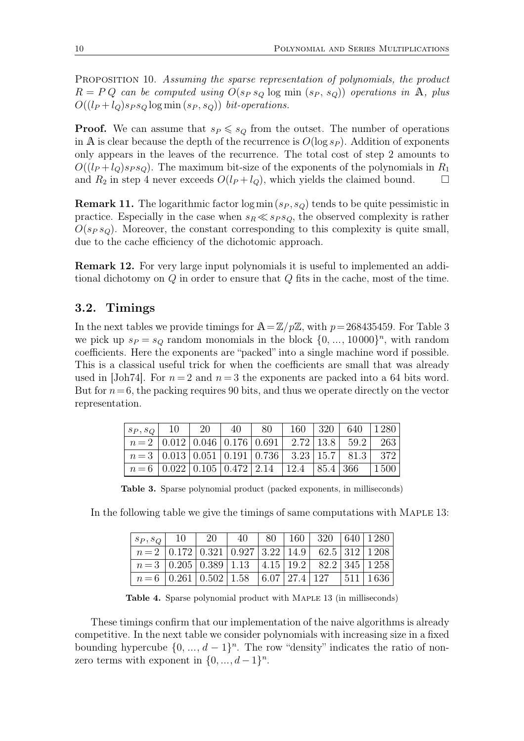Proposition 10. *Assuming the sparse representation of polynomials, the product*  $R = PQ$  *can be computed using*  $O(s_P s_Q \log \min(s_P, s_Q))$  *operations in* A, *plus*  $O((l_P + l_Q)s_P s_Q \log \min(s_P, s_Q))$  *bit-operations.* 

**Proof.** We can assume that  $s_P \leq s_Q$  from the outset. The number of operations in A is clear because the depth of the recurrence is  $O(\log s_P)$ . Addition of exponents only appears in the leaves of the recurrence. The total cost of step 2 amounts to  $O((l_P + l_Q) s_P s_Q)$ . The maximum bit-size of the exponents of the polynomials in  $R_1$ and  $R_2$  in step 4 never exceeds  $O(l_P + l_Q)$ , which yields the claimed bound.  $\square$ 

**Remark 11.** The logarithmic factor  $\log \min(s_P, s_Q)$  tends to be quite pessimistic in practice. Especially in the case when  $s_R \ll s_P s_Q$ , the observed complexity is rather  $O(s_P s_Q)$ . Moreover, the constant corresponding to this complexity is quite small, due to the cache efficiency of the dichotomic approach.

**Remark 12.** For very large input polynomials it is useful to implemented an additional dichotomy on Q in order to ensure that Q fits in the cache, most of the time.

### **3.2. Timings**

In the next tables we provide timings for  $\mathbb{A}=\mathbb{Z}/p\mathbb{Z}$ , with  $p=268435459$ . For Table 3 we pick up  $s_P = s_Q$  random monomials in the block  $\{0, \ldots, 10000\}^n$ , with random coefficients. Here the exponents are "packed" into a single machine word if possible. This is a classical useful trick for when the coefficients are small that was already used in [Joh74]. For  $n = 2$  and  $n = 3$  the exponents are packed into a 64 bits word. But for  $n=6$ , the packing requires 90 bits, and thus we operate directly on the vector representation.

| $ s_P, s_Q $ 10                                                                 | - 20 | 40 | 80 |  | 160   320   640   1280 |             |
|---------------------------------------------------------------------------------|------|----|----|--|------------------------|-------------|
| $n = 2   0.012   0.046   0.176   0.691   2.72   13.8   59.2   263$              |      |    |    |  |                        |             |
| $n=3$   0.013   0.051   0.191   0.736   3.23   15.7   81.3                      |      |    |    |  |                        | - 372       |
| $n = 6 \mid 0.022 \mid 0.105 \mid 0.472 \mid 2.14 \mid 12.4 \mid 85.4 \mid 366$ |      |    |    |  |                        | $\mid$ 1500 |

**Table 3.** Sparse polynomial product (packed exponents, in milliseconds)

In the following table we give the timings of same computations with Maple 13:

| $ s_P, s_Q $ 10   20   40   80   160   320   640   1280                                      |  |  |  |  |
|----------------------------------------------------------------------------------------------|--|--|--|--|
| $n=2$   0.172   0.321   0.927   3.22   14.9   62.5   312   1.208                             |  |  |  |  |
| $n=3$   0.205   0.389   1.13   4.15   19.2   82.2   345   1258                               |  |  |  |  |
| $n = 6 \mid 0.261 \mid 0.502 \mid 1.58 \mid 6.07 \mid 27.4 \mid 127 \mid 511 \mid 1636 \mid$ |  |  |  |  |

**Table 4.** Sparse polynomial product with Maple 13 (in milliseconds)

These timings confirm that our implementation of the naive algorithms is already competitive. In the next table we consider polynomials with increasing size in a fixed bounding hypercube  $\{0, ..., d-1\}^n$ . The row "density" indicates the ratio of nonzero terms with exponent in  $\{0, \ldots, d-1\}^n$ .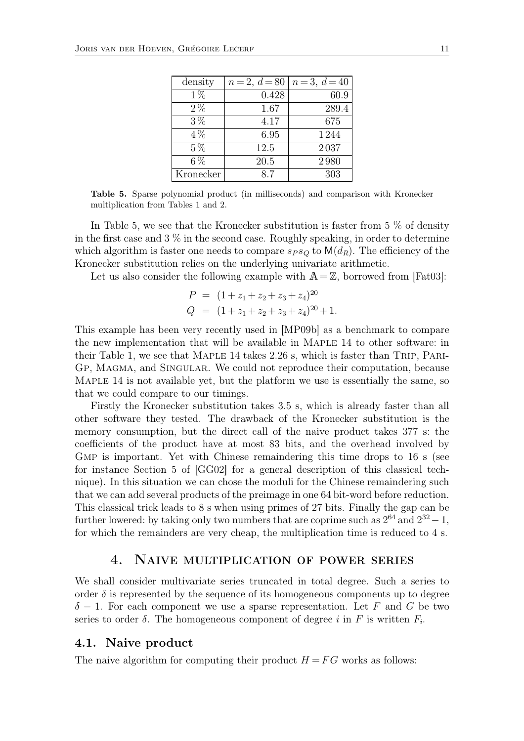| density   | $n = 2, d = 80$ | $n=3, d=40$ |
|-----------|-----------------|-------------|
| $1\%$     | 0.428           | 60.9        |
| $2\%$     | 1.67            | 289.4       |
| $3\%$     | 4.17            | 675         |
| $4\%$     | 6.95            | 1244        |
| $5\%$     | 12.5            | 2037        |
| $6\%$     | 20.5            | 2980        |
| Kronecker | 87              | 303         |

**Table 5.** Sparse polynomial product (in milliseconds) and comparison with Kronecker multiplication from Tables 1 and 2.

In Table 5, we see that the Kronecker substitution is faster from 5 % of density in the first case and  $3\%$  in the second case. Roughly speaking, in order to determine which algorithm is faster one needs to compare  $s_P s_Q$  to  $\mathsf{M}(d_R)$ . The efficiency of the Kronecker substitution relies on the underlying univariate arithmetic.

Let us also consider the following example with  $A = \mathbb{Z}$ , borrowed from [Fat03]:

$$
P = (1 + z1 + z2 + z3 + z4)20
$$
  

$$
Q = (1 + z1 + z2 + z3 + z4)20 + 1.
$$

This example has been very recently used in [MP09b] as a benchmark to compare the new implementation that will be available in Maple 14 to other software: in their Table 1, we see that MAPLE 14 takes 2.26 s, which is faster than TRIP, PARI-Gp, Magma, and Singular. We could not reproduce their computation, because MAPLE 14 is not available yet, but the platform we use is essentially the same, so that we could compare to our timings.

Firstly the Kronecker substitution takes 3.5 s, which is already faster than all other software they tested. The drawback of the Kronecker substitution is the memory consumption, but the direct call of the naive product takes 377 s: the coefficients of the product have at most 83 bits, and the overhead involved by GMP is important. Yet with Chinese remaindering this time drops to 16 s (see for instance Section 5 of [GG02] for a general description of this classical technique). In this situation we can chose the moduli for the Chinese remaindering such that we can add several products of the preimage in one 64 bit-word before reduction. This classical trick leads to 8 s when using primes of 27 bits. Finally the gap can be further lowered: by taking only two numbers that are coprime such as  $2^{64}$  and  $2^{32} - 1$ , for which the remainders are very cheap, the multiplication time is reduced to 4 s.

# 4. Naive multiplication of power series

We shall consider multivariate series truncated in total degree. Such a series to order  $\delta$  is represented by the sequence of its homogeneous components up to degree  $\delta$  – 1. For each component we use a sparse representation. Let F and G be two series to order  $\delta$ . The homogeneous component of degree i in F is written  $F_i$ .

#### **4.1. Naive product**

The naive algorithm for computing their product  $H = FG$  works as follows: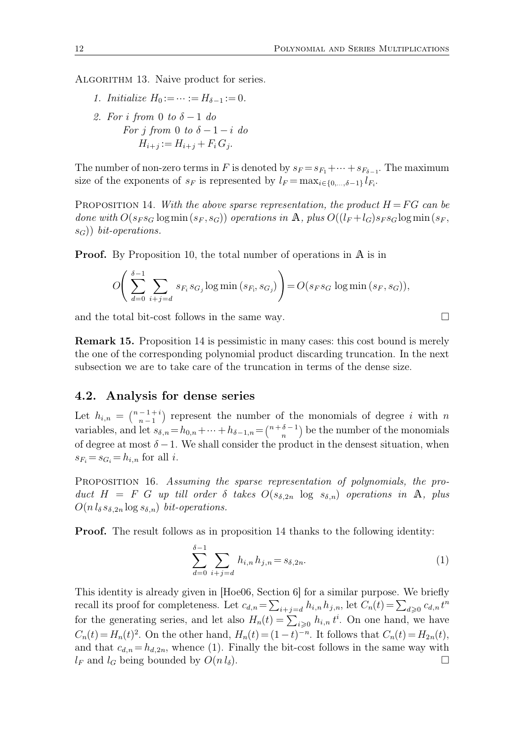ALGORITHM 13. Naive product for series.

*1. Initialize*  $H_0 := \cdots := H_{\delta-1} := 0.$ *2. For* i *from* 0 *to* δ − 1 *do For j from* 0 *to*  $\delta - 1 - i$  *do*  $H_{i+j} := H_{i+j} + F_i G_j.$ 

The number of non-zero terms in F is denoted by  $s_F = s_{F_1} + \cdots + s_{F_{\delta-1}}$ . The maximum size of the exponents of  $s_F$  is represented by  $l_F = \max_{i \in \{0, \ldots, \delta-1\}} l_{F_i}$ .

PROPOSITION 14. With the above sparse representation, the product  $H = FG$  can be *done with*  $O(s_F s_G \log \min(s_F, s_G))$  *operations in* A, *plus*  $O((l_F + l_G)s_F s_G \log \min(s_F,$ sG)) *bit-operations.*

**Proof.** By Proposition 10, the total number of operations in A is in

$$
O\left(\sum_{d=0}^{\delta-1}\sum_{i+j=d} s_{F_i} s_{G_j} \log \min\left(s_{F_i}, s_{G_j}\right)\right) = O(s_F s_G \log \min\left(s_F, s_G\right)),
$$

and the total bit-cost follows in the same way.  $\Box$ 

**Remark 15.** Proposition 14 is pessimistic in many cases: this cost bound is merely the one of the corresponding polynomial product discarding truncation. In the next subsection we are to take care of the truncation in terms of the dense size.

### **4.2. Analysis for dense series**

Let  $h_{i,n} = \binom{n-1+i}{n-1}$  $\binom{-1+i}{n-1}$  represent the number of the monomials of degree i with n variables, and let  $s_{\delta,n} = h_{0,n} + \cdots + h_{\delta-1,n} = \binom{n+\delta-1}{n}$  $\binom{b-1}{n}$  be the number of the monomials of degree at most  $\delta - 1$ . We shall consider the product in the densest situation, when  $s_{F_i} = s_{G_i} = h_{i,n}$  for all i.

Proposition 16. *Assuming the sparse representation of polynomials, the pro*duct  $H = F G$  *up till order*  $\delta$  *takes*  $O(s_{\delta,2n} \log s_{\delta,n})$  *operations in* A, *plus*  $O(n l_{\delta} s_{\delta,2n} \log s_{\delta,n})$  *bit-operations.* 

**Proof.** The result follows as in proposition 14 thanks to the following identity:

$$
\sum_{d=0}^{\delta-1} \sum_{i+j=d} h_{i,n} h_{j,n} = s_{\delta,2n}.
$$
 (1)

This identity is already given in [Hoe06, Section 6] for a similar purpose. We briefly recall its proof for completeness. Let  $c_{d,n} = \sum_{i+j=d} h_{i,n} h_{j,n}$ , let  $C_n(t) = \sum_{d\geqslant 0} c_{d,n} t^n$ for the generating series, and let also  $H_n(t) = \sum_{i \geq 0} h_{i,n} t^i$ . On one hand, we have  $C_n(t) = H_n(t)^2$ . On the other hand,  $H_n(t) = (1-t)^{-n}$ . It follows that  $C_n(t) = H_{2n}(t)$ , and that  $c_{d,n} = h_{d,2n}$ , whence (1). Finally the bit-cost follows in the same way with  $l_F$  and  $l_G$  being bounded by  $O(n l_\delta)$ .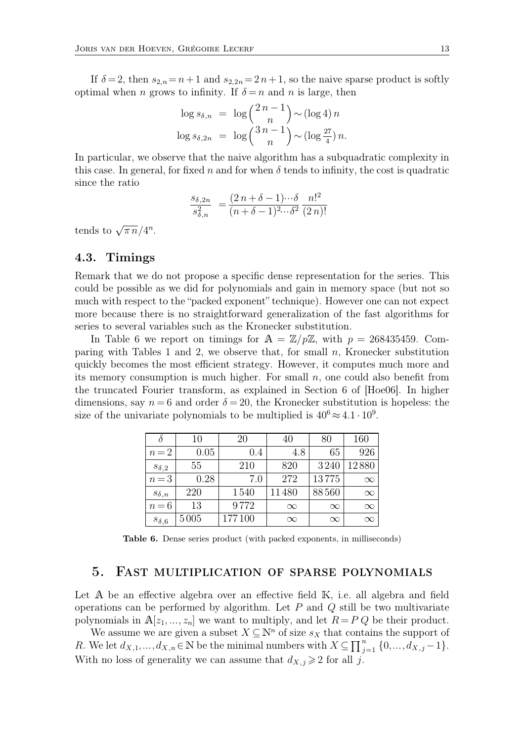If  $\delta = 2$ , then  $s_{2,n} = n+1$  and  $s_{2,2n} = 2n+1$ , so the naive sparse product is softly optimal when n grows to infinity. If  $\delta = n$  and n is large, then

$$
\log s_{\delta,n} = \log {\binom{2n-1}{n}} \sim (\log 4) n
$$
  

$$
\log s_{\delta,2n} = \log {\binom{3n-1}{n}} \sim (\log \frac{27}{4}) n.
$$

In particular, we observe that the naive algorithm has a subquadratic complexity in this case. In general, for fixed n and for when  $\delta$  tends to infinity, the cost is quadratic since the ratio

$$
\frac{s_{\delta,2n}}{s_{\delta,n}^2} = \frac{(2\,n+\delta-1)\cdots\delta}{(n+\delta-1)^{2}\cdots\delta^2} \frac{n!^2}{(2\,n)!}
$$

tends to  $\sqrt{\pi n}/4^n$ .

### **4.3. Timings**

Remark that we do not propose a specific dense representation for the series. This could be possible as we did for polynomials and gain in memory space (but not so much with respect to the "packed exponent" technique). However one can not expect more because there is no straightforward generalization of the fast algorithms for series to several variables such as the Kronecker substitution.

In Table 6 we report on timings for  $A = \mathbb{Z}/p\mathbb{Z}$ , with  $p = 268435459$ . Comparing with Tables 1 and 2, we observe that, for small  $n$ , Kronecker substitution quickly becomes the most efficient strategy. However, it computes much more and its memory consumption is much higher. For small  $n$ , one could also benefit from the truncated Fourier transform, as explained in Section 6 of [Hoe06]. In higher dimensions, say  $n = 6$  and order  $\delta = 20$ , the Kronecker substitution is hopeless: the size of the univariate polynomials to be multiplied is  $40^6 \approx 4.1 \cdot 10^9$ .

|                | 10   | 20     | 40       | 80       | 160      |
|----------------|------|--------|----------|----------|----------|
| $n=2$          | 0.05 | 0.4    | 4.8      | 65       | 926      |
| $s_{\delta,2}$ | 55   | 210    | 820      | 3240     | 12880    |
| $n=3$          | 0.28 | 7.0    | 272      | 13775    | $\infty$ |
| $s_{\delta,n}$ | 220  | 1540   | 11480    | 88560    | $\infty$ |
| $n=6$          | 13   | 9772   | $\infty$ | $\infty$ | $\infty$ |
| $s_{\delta,6}$ | 5005 | 177100 | $\infty$ | $\infty$ | $\infty$ |

**Table 6.** Dense series product (with packed exponents, in milliseconds)

#### 5. Fast multiplication of sparse polynomials

Let A be an effective algebra over an effective field K, i.e. all algebra and field operations can be performed by algorithm. Let  $P$  and  $Q$  still be two multivariate polynomials in  $A[z_1, \ldots, z_n]$  we want to multiply, and let  $R = P Q$  be their product.

We assume we are given a subset  $X \subseteq \mathbb{N}^n$  of size  $s_X$  that contains the support of R. We let  $d_{X,1},...,d_{X,n} \in \mathbb{N}$  be the minimal numbers with  $X \subseteq \prod_{j=1}^n$  $_{j=1}^{n}$  {0, ...,  $d_{X,j}$  - 1}. With no loss of generality we can assume that  $d_{X,j} \geq 2$  for all j.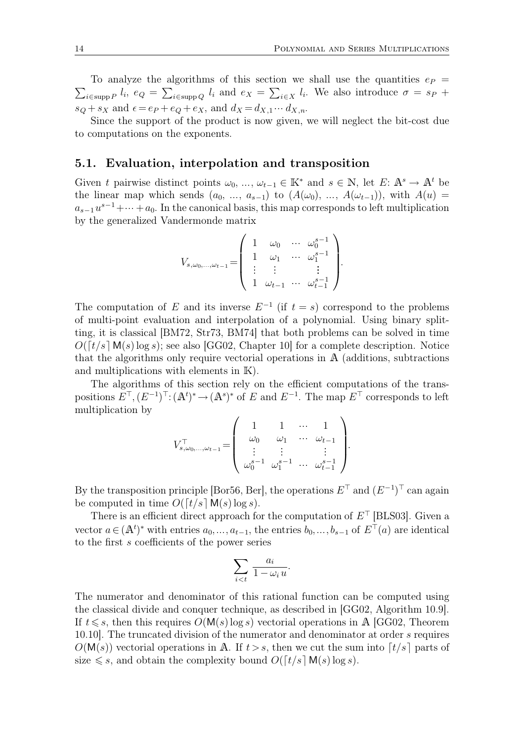$\sum_{i \in \text{supp } P} l_i$ ,  $e_Q = \sum_{i \in \text{supp } Q} l_i$  and  $e_X = \sum_{i \in X} l_i$ . We also introduce  $\sigma = s_P +$ To analyze the algorithms of this section we shall use the quantities  $e_P$  =  $s_Q + s_X$  and  $\epsilon = e_P + e_Q + e_X$ , and  $d_X = d_{X,1} \cdots d_{X,n}$ .

Since the support of the product is now given, we will neglect the bit-cost due to computations on the exponents.

### **5.1. Evaluation, interpolation and transposition**

Given t pairwise distinct points  $\omega_0, \ldots, \omega_{t-1} \in \mathbb{K}^*$  and  $s \in \mathbb{N}$ , let  $E: \mathbb{A}^s \to \mathbb{A}^t$  be the linear map which sends  $(a_0, \ldots, a_{s-1})$  to  $(A(\omega_0), \ldots, A(\omega_{t-1}))$ , with  $A(u)$  $a_{s-1}u^{s-1}+\cdots+a_0$ . In the canonical basis, this map corresponds to left multiplication by the generalized Vandermonde matrix

$$
V_{s,\omega_0,\dots,\omega_{t-1}} = \begin{pmatrix} 1 & \omega_0 & \cdots & \omega_0^{s-1} \\ 1 & \omega_1 & \cdots & \omega_1^{s-1} \\ \vdots & \vdots & & \vdots \\ 1 & \omega_{t-1} & \cdots & \omega_{t-1}^{s-1} \end{pmatrix}.
$$

The computation of E and its inverse  $E^{-1}$  (if  $t = s$ ) correspond to the problems of multi-point evaluation and interpolation of a polynomial. Using binary splitting, it is classical [BM72, Str73, BM74] that both problems can be solved in time  $O([t/s] \mathbf{M}(s) \log s)$ ; see also [GG02, Chapter 10] for a complete description. Notice that the algorithms only require vectorial operations in A (additions, subtractions and multiplications with elements in K).

The algorithms of this section rely on the efficient computations of the transpositions  $E^{\top}, (E^{-1})^{\top} : (\mathbb{A}^t)^* \to (\mathbb{A}^s)^*$  of E and  $E^{-1}$ . The map  $E^{\top}$  corresponds to left multiplication by

$$
V_{s,\omega_{0},\dots,\omega_{t-1}}^{\top} = \begin{pmatrix} 1 & 1 & \cdots & 1 \\ \omega_{0} & \omega_{1} & \cdots & \omega_{t-1} \\ \vdots & \vdots & & \vdots \\ \omega_{0}^{s-1} & \omega_{1}^{s-1} & \cdots & \omega_{t-1}^{s-1} \end{pmatrix}.
$$

By the transposition principle [Bor56, Ber], the operations  $E^{\top}$  and  $(E^{-1})^{\top}$  can again be computed in time  $O([t/s] \mathsf{M}(s) \log s)$ .

There is an efficient direct approach for the computation of  $E^{\top}$  [BLS03]. Given a vector  $a \in (A^t)^*$  with entries  $a_0, \ldots, a_{t-1}$ , the entries  $b_0, \ldots, b_{s-1}$  of  $E^{\top}(a)$  are identical to the first s coefficients of the power series

$$
\sum_{i < t} \frac{a_i}{1 - \omega_i u}.
$$

The numerator and denominator of this rational function can be computed using the classical divide and conquer technique, as described in [GG02, Algorithm 10.9]. If  $t \leq s$ , then this requires  $O(M(s) \log s)$  vectorial operations in A [GG02, Theorem 10.10]. The truncated division of the numerator and denominator at order s requires  $O(M(s))$  vectorial operations in A. If  $t > s$ , then we cut the sum into  $\lceil t/s \rceil$  parts of size  $\leq s$ , and obtain the complexity bound  $O([t/s] M(s) \log s)$ .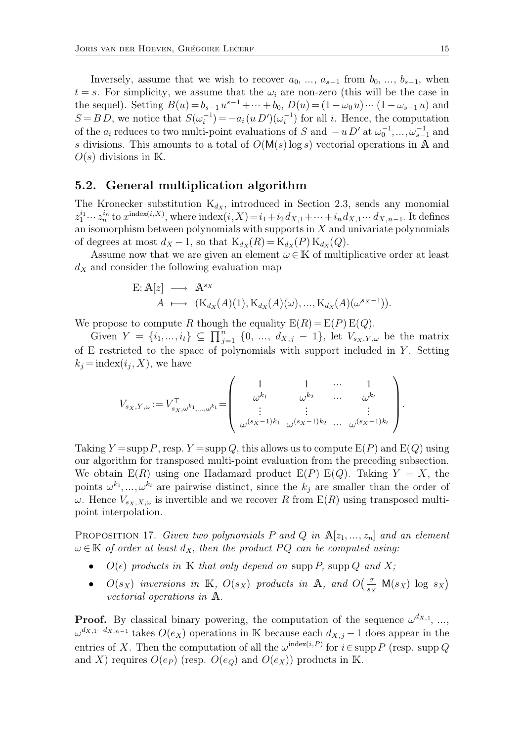Inversely, assume that we wish to recover  $a_0, \ldots, a_{s-1}$  from  $b_0, \ldots, b_{s-1}$ , when  $t = s$ . For simplicity, we assume that the  $\omega_i$  are non-zero (this will be the case in the sequel). Setting  $B(u) = b_{s-1}u^{s-1} + \dots + b_0$ ,  $D(u) = (1 - \omega_0 u) \dots (1 - \omega_{s-1} u)$  and  $S = BD$ , we notice that  $S(\omega_i^{-1}) = -a_i(u D')(\omega_i^{-1})$  for all *i*. Hence, the computation of the  $a_i$  reduces to two multi-point evaluations of S and  $-u D'$  at  $\omega_0^{-1}, \dots, \omega_{s-1}^{-1}$  and s divisions. This amounts to a total of  $O(M(s) \log s)$  vectorial operations in A and  $O(s)$  divisions in K.

### **5.2. General multiplication algorithm**

The Kronecker substitution  $K_{dX}$ , introduced in Section 2.3, sends any monomial  $z_1^{i_1} \cdots z_n^{i_n}$  to  $x^{\text{index}(i,X)}$ , where  $\text{index}(i,X) = i_1 + i_2 d_{X,1} + \cdots + i_n d_{X,1} \cdots d_{X,n-1}$ . It defines an isomorphism between polynomials with supports in  $X$  and univariate polynomials of degrees at most  $d_X - 1$ , so that  $K_{d_X}(R) = K_{d_X}(P) K_{d_X}(Q)$ .

Assume now that we are given an element  $\omega \in \mathbb{K}$  of multiplicative order at least  $d<sub>X</sub>$  and consider the following evaluation map

$$
E: \mathbb{A}[z] \longrightarrow \mathbb{A}^{sx}
$$
  

$$
A \longmapsto (K_{d_X}(A)(1), K_{d_X}(A)(\omega), ..., K_{d_X}(A)(\omega^{sx-1})).
$$

We propose to compute R though the equality  $E(R) = E(P) E(Q)$ .

Given  $Y = \{i_1, ..., i_t\} \subseteq \prod_{j=1}^n$  $\sum_{j=1}^{n} \{0, \ldots, d_{X,j} - 1\},$  let  $V_{s_X,Y,\omega}$  be the matrix of E restricted to the space of polynomials with support included in  $Y$ . Setting  $k_j = \text{index}(i_j, X)$ , we have

$$
V_{s_X,Y,\omega} := V_{s_X,\omega^{k_1},\dots,\omega^{k_t}}^{\top} = \begin{pmatrix} 1 & 1 & \cdots & 1 \\ \omega^{k_1} & \omega^{k_2} & \cdots & \omega^{k_t} \\ \vdots & \vdots & & \vdots \\ \omega^{(s_X-1)k_1} & \omega^{(s_X-1)k_2} & \cdots & \omega^{(s_X-1)k_t} \end{pmatrix}.
$$

Taking  $Y = \text{supp } P$ , resp.  $Y = \text{supp } Q$ , this allows us to compute  $E(P)$  and  $E(Q)$  using our algorithm for transposed multi-point evaluation from the preceding subsection. We obtain  $E(R)$  using one Hadamard product  $E(P) E(Q)$ . Taking  $Y = X$ , the points  $\omega^{k_1}, \ldots, \omega^{k_t}$  are pairwise distinct, since the  $k_j$  are smaller than the order of  $\omega$ . Hence  $V_{s_X,X,\omega}$  is invertible and we recover R from  $E(R)$  using transposed multipoint interpolation.

PROPOSITION 17. *Given two polynomials* P and Q in  $\mathbb{A}[z_1, ..., z_n]$  and an element  $\omega \in \mathbb{K}$  *of order at least*  $d_X$ *, then the product*  $PQ$  *can be computed using:* 

- $O(\epsilon)$  *products in* K *that only depend on* supp P, supp Q *and* X;
- $O(s_X)$  inversions in K,  $O(s_X)$  products in A, and  $O\left(\frac{\sigma}{s_X} \mathsf{M}(s_X) \log s_X\right)$ *vectorial operations in* A*.*

**Proof.** By classical binary powering, the computation of the sequence  $\omega^{dx,1}, \ldots$ ,  $\omega^{d_{X,1}\cdots d_{X,n-1}}$  takes  $O(e_X)$  operations in K because each  $d_{X,j} - 1$  does appear in the entries of X. Then the computation of all the  $\omega^{\text{index}(i, P)}$  for  $i \in \text{supp } P$  (resp. supp Q and X) requires  $O(e_P)$  (resp.  $O(e_Q)$  and  $O(e_X)$ ) products in K.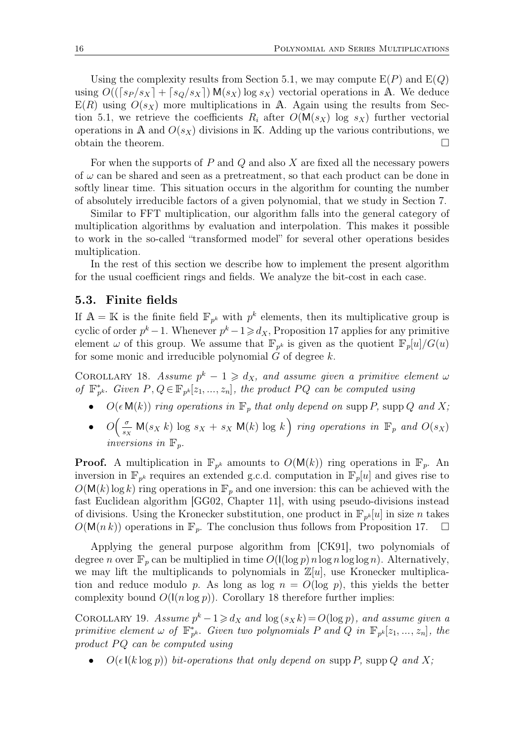Using the complexity results from Section 5.1, we may compute  $E(P)$  and  $E(Q)$ using  $O((\lceil s_P/s_X \rceil + \lceil s_O/s_X \rceil) M(s_X) \log s_X)$  vectorial operations in A. We deduce  $E(R)$  using  $O(s_X)$  more multiplications in A. Again using the results from Section 5.1, we retrieve the coefficients  $R_i$  after  $O(M(s_X))$  log  $s_X$ ) further vectorial operations in A and  $O(s_X)$  divisions in K. Adding up the various contributions, we obtain the theorem.  $\Box$ 

For when the supports of  $P$  and  $Q$  and also  $X$  are fixed all the necessary powers of  $\omega$  can be shared and seen as a pretreatment, so that each product can be done in softly linear time. This situation occurs in the algorithm for counting the number of absolutely irreducible factors of a given polynomial, that we study in Section 7.

Similar to FFT multiplication, our algorithm falls into the general category of multiplication algorithms by evaluation and interpolation. This makes it possible to work in the so-called "transformed model" for several other operations besides multiplication.

In the rest of this section we describe how to implement the present algorithm for the usual coefficient rings and fields. We analyze the bit-cost in each case.

### **5.3. Finite fields**

If  $\mathbb{A} = \mathbb{K}$  is the finite field  $\mathbb{F}_{p^k}$  with  $p^k$  elements, then its multiplicative group is cyclic of order  $p^k - 1$ . Whenever  $p^k - 1 \ge d_X$ , Proposition 17 applies for any primitive element  $\omega$  of this group. We assume that  $\mathbb{F}_{p^k}$  is given as the quotient  $\mathbb{F}_p[u]/G(u)$ for some monic and irreducible polynomial  $G$  of degree  $k$ .

COROLLARY 18. *Assume*  $p^k - 1 \geq d_X$ , and assume given a primitive element  $\omega$ *of*  $\mathbb{F}_{p^k}^*$ . Given  $P, Q \in \mathbb{F}_{p^k}[z_1, ..., z_n]$ , the product  $PQ$  can be computed using

- $O(\epsilon M(k))$  *ring operations in*  $\mathbb{F}_p$  *that only depend on* supp P, supp Q *and* X;
- $\bullet$   $O\left(\frac{\sigma}{s_2}\right)$  $\frac{\sigma}{s_X}$  M(s<sub>X</sub> k) log s<sub>X</sub> + s<sub>X</sub> M(k) log k) ring operations in  $\mathbb{F}_p$  and  $O(s_X)$ *inversions in*  $\mathbb{F}_i$

**Proof.** A multiplication in  $\mathbb{F}_{p^k}$  amounts to  $O(M(k))$  ring operations in  $\mathbb{F}_p$ . An inversion in  $\mathbb{F}_{p^k}$  requires an extended g.c.d. computation in  $\mathbb{F}_p[u]$  and gives rise to  $O(M(k)\log k)$  ring operations in  $\mathbb{F}_p$  and one inversion: this can be achieved with the fast Euclidean algorithm [GG02, Chapter 11], with using pseudo-divisions instead of divisions. Using the Kronecker substitution, one product in  $\mathbb{F}_{p^k}[u]$  in size n takes  $O(M(n k))$  operations in  $\mathbb{F}_n$ . The conclusion thus follows from Proposition 17.  $\Box$ 

Applying the general purpose algorithm from [CK91], two polynomials of degree n over  $\mathbb{F}_p$  can be multiplied in time  $O(\log p) n \log n \log \log n$ . Alternatively, we may lift the multiplicands to polynomials in  $\mathbb{Z}[u]$ , use Kronecker multiplication and reduce modulo p. As long as  $log n = O(log p)$ , this yields the better complexity bound  $O(|n \log p|)$ . Corollary 18 therefore further implies:

COROLLARY 19. *Assume*  $p^k - 1 \ge d_X$  *and*  $\log(s_X k) = O(\log p)$ *, and assume given a primitive element*  $\omega$  *of*  $\mathbb{F}_{p^k}^*$ *. Given two polynomials* P *and* Q *in*  $\mathbb{F}_{p^k}[z_1, ..., z_n]$ *, the product* PQ can be computed using

 $O(\epsilon \, \mathsf{I}(k \log p))$  *bit-operations that only depend on* supp P, supp Q *and* X;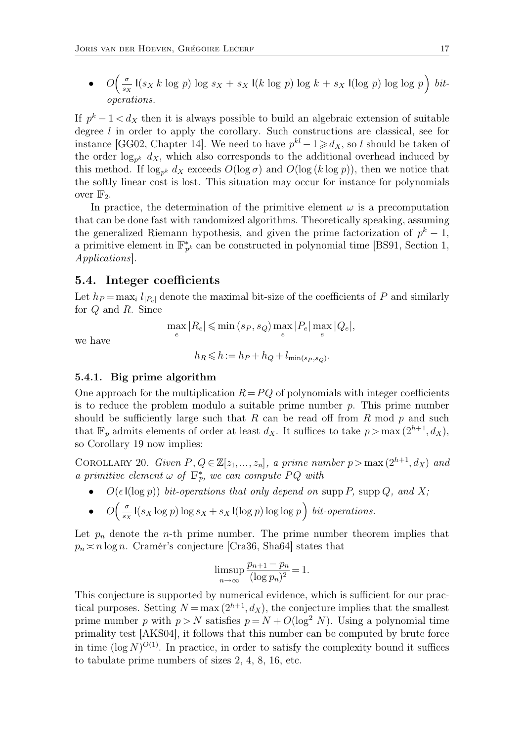$\bullet$   $O\left(\frac{\sigma}{s_2}\right)$  $\frac{\sigma}{s_X}$  I( $s_X k \log p$ ) log  $s_X + s_X$  I( $k \log p$ ) log  $k + s_X$  I(log p) log log p) bit*operations.*

If  $p^k - 1 < d_X$  then it is always possible to build an algebraic extension of suitable degree l in order to apply the corollary. Such constructions are classical, see for instance [GG02, Chapter 14]. We need to have  $p^{kl} - 1 \geq d_X$ , so l should be taken of the order  $log_{p^k}$   $dx$ , which also corresponds to the additional overhead induced by this method. If  $\log_{p^k} d_X$  exceeds  $O(\log \sigma)$  and  $O(\log (k \log p))$ , then we notice that the softly linear cost is lost. This situation may occur for instance for polynomials over  $\mathbb{F}_2$ .

In practice, the determination of the primitive element  $\omega$  is a precomputation that can be done fast with randomized algorithms. Theoretically speaking, assuming the generalized Riemann hypothesis, and given the prime factorization of  $p^k - 1$ , a primitive element in  $\mathbb{F}_{p^k}^*$  can be constructed in polynomial time [BS91, Section 1, *Applications*].

#### **5.4. Integer coefficients**

Let  $h_P = \max_i l_{P_{e}}$  denote the maximal bit-size of the coefficients of P and similarly for Q and R. Since

we have

$$
\max_{e} |R_e| \leqslant \min\left(s_P, s_Q\right) \max_{e} |P_e| \max_{e} |Q_e|,
$$

$$
h_R \leqslant h := h_P + h_Q + l_{\min(s_P, s_Q)}.
$$

#### **5.4.1. Big prime algorithm**

One approach for the multiplication  $R=PQ$  of polynomials with integer coefficients is to reduce the problem modulo a suitable prime number  $p$ . This prime number should be sufficiently large such that R can be read off from R mod  $p$  and such that  $\mathbb{F}_p$  admits elements of order at least  $d_X$ . It suffices to take  $p > \max(2^{h+1}, d_X)$ , so Corollary 19 now implies:

COROLLARY 20. *Given*  $P, Q \in \mathbb{Z}[z_1, ..., z_n]$ , a prime number  $p > \max(2^{h+1}, d_X)$  and *a primitive element*  $\omega$  *of*  $\mathbb{F}_p^*$ *, we can compute*  $PQ$  *with* 

- $O(\epsilon \mathsf{I}(\log p))$  *bit-operations that only depend on* supp P, supp Q, and X;
- $\bullet$   $O\left(\frac{\sigma}{s_2}\right)$  $\frac{\sigma}{s_X}$  I( $s_X$  log p) log  $s_X + s_X$  I(log p) log log p) *bit-operations.*

Let  $p_n$  denote the *n*-th prime number. The prime number theorem implies that  $p_n \approx n \log n$ . Cramér's conjecture [Cra36, Sha64] states that

$$
\limsup_{n \to \infty} \frac{p_{n+1} - p_n}{(\log p_n)^2} = 1.
$$

This conjecture is supported by numerical evidence, which is sufficient for our practical purposes. Setting  $N = \max(2^{h+1}, d_X)$ , the conjecture implies that the smallest prime number p with  $p > N$  satisfies  $p = N + O(\log^2 N)$ . Using a polynomial time primality test [AKS04], it follows that this number can be computed by brute force in time  $(\log N)^{O(1)}$ . In practice, in order to satisfy the complexity bound it suffices to tabulate prime numbers of sizes 2, 4, 8, 16, etc.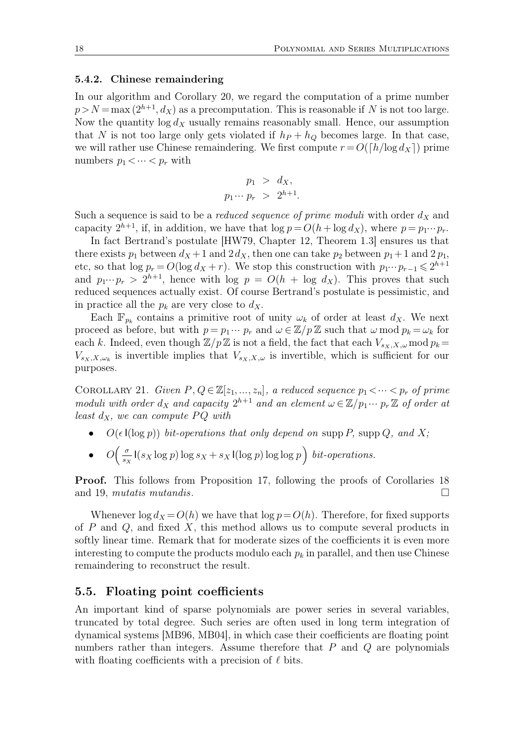#### **5.4.2. Chinese remaindering**

In our algorithm and Corollary 20, we regard the computation of a prime number  $p > N = \max(2^{h+1}, d_X)$  as a precomputation. This is reasonable if N is not too large. Now the quantity  $\log d_X$  usually remains reasonably small. Hence, our assumption that N is not too large only gets violated if  $h_P + h_Q$  becomes large. In that case, we will rather use Chinese remaindering. We first compute  $r = O([h/\log d_X])$  prime numbers  $p_1 < \cdots < p_r$  with

$$
p_1 > d_X,
$$
  

$$
p_1 \cdots p_r > 2^{h+1}.
$$

Such a sequence is said to be a *reduced sequence of prime moduli* with order  $d_X$  and capacity  $2^{h+1}$ , if, in addition, we have that  $\log p = O(h + \log d_X)$ , where  $p = p_1 \cdots p_r$ .

In fact Bertrand's postulate [HW79, Chapter 12, Theorem 1.3] ensures us that there exists  $p_1$  between  $d_X + 1$  and  $2d_X$ , then one can take  $p_2$  between  $p_1 + 1$  and  $2p_1$ , etc, so that  $\log p_r = O(\log d_X + r)$ . We stop this construction with  $p_1 \cdots p_{r-1} \leq 2^{h+1}$ and  $p_1 \cdots p_r > 2^{h+1}$ , hence with log  $p = O(h + \log d_X)$ . This proves that such reduced sequences actually exist. Of course Bertrand's postulate is pessimistic, and in practice all the  $p_k$  are very close to  $d_X$ .

Each  $\mathbb{F}_{p_k}$  contains a primitive root of unity  $\omega_k$  of order at least  $d_X$ . We next proceed as before, but with  $p = p_1 \cdots p_r$  and  $\omega \in \mathbb{Z}/p\mathbb{Z}$  such that  $\omega \mod p_k = \omega_k$  for each k. Indeed, even though  $\mathbb{Z}/p\mathbb{Z}$  is not a field, the fact that each  $V_{s_X,X,\omega}$  mod  $p_k =$  $V_{s_X,X,\omega_k}$  is invertible implies that  $V_{s_X,X,\omega}$  is invertible, which is sufficient for our purposes.

COROLLARY 21. *Given*  $P, Q \in \mathbb{Z}[z_1, ..., z_n]$ , a reduced sequence  $p_1 < \cdots < p_r$  of prime *moduli with order*  $d_X$  *and capacity*  $2^{h+1}$  *and an element*  $\omega \in \mathbb{Z}/p_1 \cdots p_r \mathbb{Z}$  *of order at least*  $d_X$ *, we can compute*  $PQ$  *with* 

- $O(\epsilon I(\log p))$  *bit-operations that only depend on* supp P, supp Q, and X;
- $\bullet$   $O\left(\frac{\sigma}{s_2}\right)$  $\frac{\sigma}{s_X}$  I( $s_X \log p$ )  $\log s_X + s_X$  I( $\log p$ )  $\log \log p$ )  $bit-operations$ .

**Proof.** This follows from Proposition 17, following the proofs of Corollaries 18 and 19, *mutatis mutandis*.

Whenever  $\log d_X = O(h)$  we have that  $\log p = O(h)$ . Therefore, for fixed supports of  $P$  and  $Q$ , and fixed  $X$ , this method allows us to compute several products in softly linear time. Remark that for moderate sizes of the coefficients it is even more interesting to compute the products modulo each  $p_k$  in parallel, and then use Chinese remaindering to reconstruct the result.

### **5.5. Floating point coefficients**

An important kind of sparse polynomials are power series in several variables, truncated by total degree. Such series are often used in long term integration of dynamical systems [MB96, MB04], in which case their coefficients are floating point numbers rather than integers. Assume therefore that  $P$  and  $Q$  are polynomials with floating coefficients with a precision of  $\ell$  bits.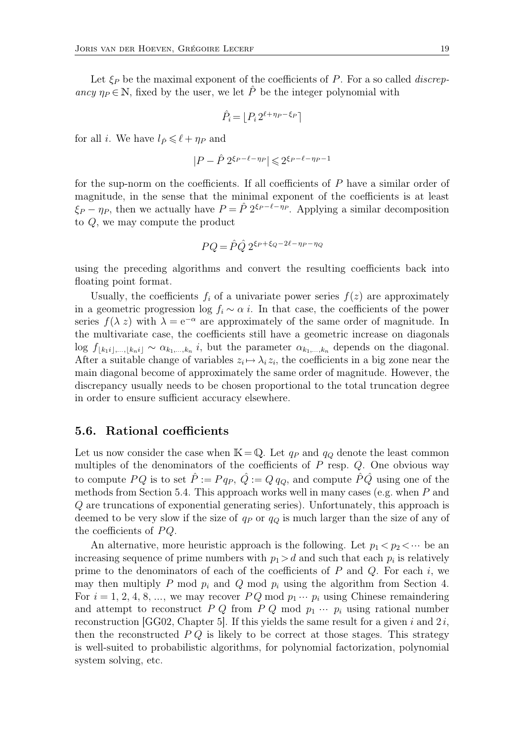Let  $\xi_P$  be the maximal exponent of the coefficients of P. For a so called *discrepancy*  $\eta_P \in \mathbb{N}$ , fixed by the user, we let  $\hat{P}$  be the integer polynomial with

$$
\hat{P}_i = \lfloor P_i \, 2^{\ell + \eta_P - \xi_P} \rceil
$$

for all *i*. We have  $l_{\hat{P}} \leq \ell + \eta_P$  and

$$
|P - \hat{P} 2^{\xi_P - \ell - \eta_P}| \leqslant 2^{\xi_P - \ell - \eta_P - 1}
$$

for the sup-norm on the coefficients. If all coefficients of P have a similar order of magnitude, in the sense that the minimal exponent of the coefficients is at least  $\xi_P - \eta_P$ , then we actually have  $P = \hat{P} 2^{\xi_P - \ell - \eta_P}$ . Applying a similar decomposition to Q, we may compute the product

$$
PQ = \hat{P}\hat{Q} 2^{\xi_P + \xi_Q - 2\ell - \eta_P - \eta_Q}
$$

using the preceding algorithms and convert the resulting coefficients back into floating point format.

Usually, the coefficients  $f_i$  of a univariate power series  $f(z)$  are approximately in a geometric progression log  $f_i \sim \alpha i$ . In that case, the coefficients of the power series  $f(\lambda z)$  with  $\lambda = e^{-\alpha}$  are approximately of the same order of magnitude. In the multivariate case, the coefficients still have a geometric increase on diagonals  $\log f_{[k_1 i], \dots, [k_n i]} \sim \alpha_{k_1, \dots, k_n} i$ , but the parameter  $\alpha_{k_1, \dots, k_n}$  depends on the diagonal. After a suitable change of variables  $z_i \mapsto \lambda_i z_i$ , the coefficients in a big zone near the main diagonal become of approximately the same order of magnitude. However, the discrepancy usually needs to be chosen proportional to the total truncation degree in order to ensure sufficient accuracy elsewhere.

### **5.6. Rational coefficients**

Let us now consider the case when  $\mathbb{K}=\mathbb{Q}$ . Let  $q_P$  and  $q_Q$  denote the least common multiples of the denominators of the coefficients of  $P$  resp.  $Q$ . One obvious way to compute PQ is to set  $\hat{P} := P q_P$ ,  $\hat{Q} := Q q_Q$ , and compute  $\hat{P}\hat{Q}$  using one of the methods from Section 5.4. This approach works well in many cases (e.g. when  $P$  and Q are truncations of exponential generating series). Unfortunately, this approach is deemed to be very slow if the size of  $q_P$  or  $q_Q$  is much larger than the size of any of the coefficients of  $PQ$ .

An alternative, more heuristic approach is the following. Let  $p_1 < p_2 < \cdots$  be an increasing sequence of prime numbers with  $p_1 > d$  and such that each  $p_i$  is relatively prime to the denominators of each of the coefficients of  $P$  and  $Q$ . For each i, we may then multiply P mod  $p_i$  and Q mod  $p_i$  using the algorithm from Section 4. For  $i = 1, 2, 4, 8, \ldots$ , we may recover  $PQ \mod p_1 \cdots p_i$  using Chinese remaindering and attempt to reconstruct  $P Q$  from  $P Q$  mod  $p_1 \cdots p_i$  using rational number reconstruction [GG02, Chapter 5]. If this yields the same result for a given i and  $2i$ , then the reconstructed  $P Q$  is likely to be correct at those stages. This strategy is well-suited to probabilistic algorithms, for polynomial factorization, polynomial system solving, etc.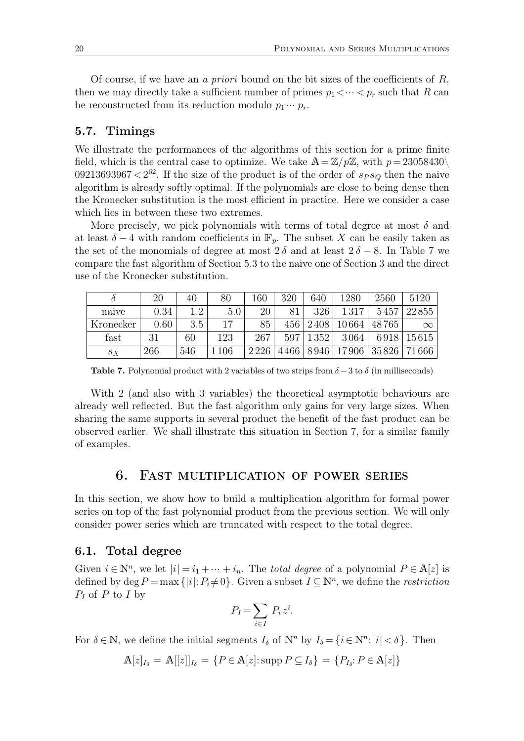Of course, if we have an *a priori* bound on the bit sizes of the coefficients of R, then we may directly take a sufficient number of primes  $p_1 < \cdots < p_r$  such that R can be reconstructed from its reduction modulo  $p_1 \cdots p_r$ .

### **5.7. Timings**

We illustrate the performances of the algorithms of this section for a prime finite field, which is the central case to optimize. We take  $A = \mathbb{Z}/p\mathbb{Z}$ , with  $p = 23058430\backslash$ 09213693967 <  $2^{62}$ . If the size of the product is of the order of  $s_P s_Q$  then the naive algorithm is already softly optimal. If the polynomials are close to being dense then the Kronecker substitution is the most efficient in practice. Here we consider a case which lies in between these two extremes.

More precisely, we pick polynomials with terms of total degree at most  $\delta$  and at least  $\delta - 4$  with random coefficients in  $\mathbb{F}_p$ . The subset X can be easily taken as the set of the monomials of degree at most  $2\delta$  and at least  $2\delta - 8$ . In Table 7 we compare the fast algorithm of Section 5.3 to the naive one of Section 3 and the direct use of the Kronecker substitution.

|           | 20   | 40  | 80  | $160\,$ | 320  | 640  | 1280  | 2560                  | 5120       |
|-----------|------|-----|-----|---------|------|------|-------|-----------------------|------------|
| naive     | 0.34 | 19  | 5.0 | 20      | 81   | 326  | 1317  | 5457                  | 22855      |
| Kronecker | 0.60 | 3.5 | 17  | 85      | 456  | 2408 | 10664 | 48765                 | $\infty$   |
| fast      | 31   | 60  | 123 | 267     | 597  | 1352 | 3064  |                       | 6918 15615 |
| $S_X$     | 266  | 546 | 106 | 2226    | 4466 | 8946 |       | 17906   35826   71666 |            |

**Table 7.** Polynomial product with 2 variables of two strips from  $\delta - 3$  to  $\delta$  (in milliseconds)

With 2 (and also with 3 variables) the theoretical asymptotic behaviours are already well reflected. But the fast algorithm only gains for very large sizes. When sharing the same supports in several product the benefit of the fast product can be observed earlier. We shall illustrate this situation in Section 7, for a similar family of examples.

# 6. Fast multiplication of power series

In this section, we show how to build a multiplication algorithm for formal power series on top of the fast polynomial product from the previous section. We will only consider power series which are truncated with respect to the total degree.

#### **6.1. Total degree**

Given  $i \in \mathbb{N}^n$ , we let  $|i| = i_1 + \cdots + i_n$ . The *total degree* of a polynomial  $P \in \mathbb{A}[z]$  is defined by  $\deg P = \max \{|i|: P_i \neq 0\}$ . Given a subset  $I \subseteq \mathbb{N}^n$ , we define the *restriction*  $P_I$  of P to I by

$$
P_I = \sum_{i \in I} P_i z^i.
$$

For  $\delta \in \mathbb{N}$ , we define the initial segments  $I_{\delta}$  of  $\mathbb{N}^n$  by  $I_{\delta} = \{i \in \mathbb{N}^n : |i| < \delta\}$ . Then

$$
\mathbb{A}[z]_{I_{\delta}} = \mathbb{A}[[z]]_{I_{\delta}} = \{P \in \mathbb{A}[z] : \operatorname{supp} P \subseteq I_{\delta}\} = \{P_{I_{\delta}} : P \in \mathbb{A}[z]\}
$$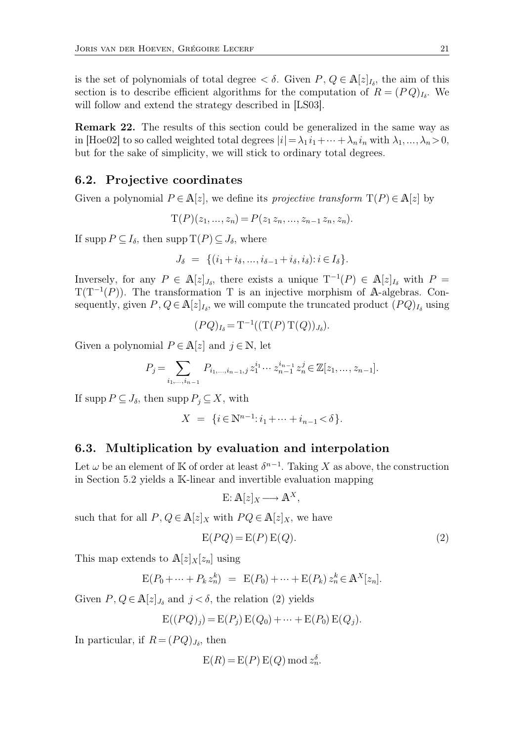is the set of polynomials of total degree  $\lt \delta$ . Given  $P, Q \in \mathbb{A}[z]_{I_{\delta}},$  the aim of this section is to describe efficient algorithms for the computation of  $R = (PQ)_{I_{\delta}}$ . We will follow and extend the strategy described in [LS03].

**Remark 22.** The results of this section could be generalized in the same way as in [Hoe02] to so called weighted total degrees  $|i| = \lambda_1 i_1 + \cdots + \lambda_n i_n$  with  $\lambda_1, \ldots, \lambda_n > 0$ , but for the sake of simplicity, we will stick to ordinary total degrees.

### **6.2. Projective coordinates**

Given a polynomial  $P \in \mathbb{A}[z]$ , we define its *projective transform*  $T(P) \in \mathbb{A}[z]$  by

$$
T(P)(z_1, ..., z_n) = P(z_1 z_n, ..., z_{n-1} z_n, z_n).
$$

If supp  $P \subseteq I_\delta$ , then supp  $T(P) \subseteq J_\delta$ , where

$$
J_{\delta} = \{(i_1 + i_{\delta}, \ldots, i_{\delta-1} + i_{\delta}, i_{\delta}) : i \in I_{\delta}\}.
$$

Inversely, for any  $P \in \mathbb{A}[z]_{J_\delta}$ , there exists a unique  $T^{-1}(P) \in \mathbb{A}[z]_{I_\delta}$  with  $P =$  $T(T^{-1}(P))$ . The transformation T is an injective morphism of A-algebras. Consequently, given  $P, Q \in \mathbb{A}[z]_{I_{\delta}}$ , we will compute the truncated product  $(PQ)_{I_{\delta}}$  using

$$
(PQ)_{I_{\delta}} = \mathrm{T}^{-1}((\mathrm{T}(P)\mathrm{T}(Q))_{J_{\delta}}).
$$

Given a polynomial  $P \in \mathbb{A}[z]$  and  $j \in \mathbb{N}$ , let

$$
P_j = \sum_{i_1, \dots, i_{n-1}} P_{i_1, \dots, i_{n-1}, j} z_1^{i_1} \cdots z_{n-1}^{i_{n-1}} z_n^j \in \mathbb{Z}[z_1, \dots, z_{n-1}].
$$

If supp  $P \subseteq J_\delta$ , then supp  $P_j \subseteq X$ , with

$$
X = \{ i \in \mathbb{N}^{n-1} : i_1 + \dots + i_{n-1} < \delta \}.
$$

#### **6.3. Multiplication by evaluation and interpolation**

Let  $\omega$  be an element of K of order at least  $\delta^{n-1}$ . Taking X as above, the construction in Section 5.2 yields a K-linear and invertible evaluation mapping

$$
E: A[z]_X \longrightarrow A^X,
$$

such that for all  $P, Q \in \mathbb{A}[z]_X$  with  $P Q \in \mathbb{A}[z]_X$ , we have

$$
E(PQ) = E(P) E(Q).
$$
\n(2)

This map extends to  $A[z]_X[z_n]$  using

$$
E(P_0 + \dots + P_k z_n^k) = E(P_0) + \dots + E(P_k) z_n^k \in A^X[z_n].
$$

Given  $P, Q \in \mathbb{A}[z]_{J_{\delta}}$  and  $j < \delta$ , the relation (2) yields

$$
E((PQ)_j) = E(P_j) E(Q_0) + \dots + E(P_0) E(Q_j).
$$

In particular, if  $R = (PQ)_{J_\delta}$ , then

$$
E(R) = E(P) E(Q) \bmod{z_n^{\delta}}.
$$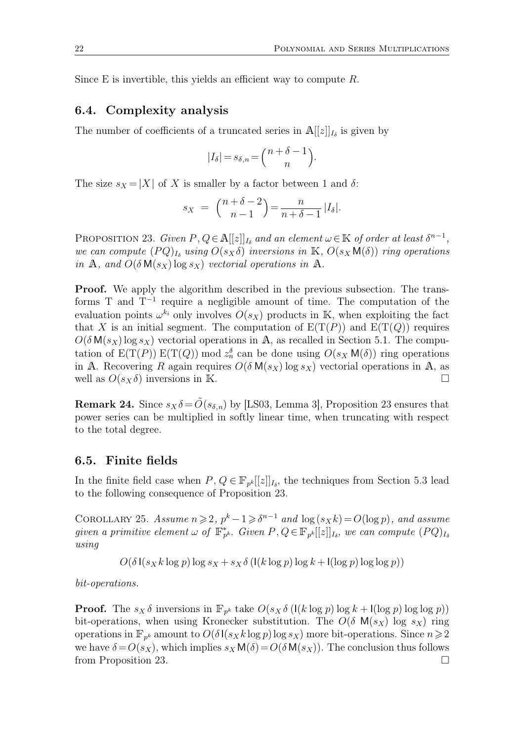Since E is invertible, this yields an efficient way to compute  $R$ .

### **6.4. Complexity analysis**

The number of coefficients of a truncated series in  $\mathbb{A}[[z]]_{I_{\delta}}$  is given by

$$
|I_{\delta}| = s_{\delta,n} = {n + \delta - 1 \choose n}.
$$

The size  $s_X = |X|$  of X is smaller by a factor between 1 and  $\delta$ :

$$
s_X = {n + \delta - 2 \choose n - 1} = \frac{n}{n + \delta - 1} |I_{\delta}|.
$$

PROPOSITION 23. *Given*  $P, Q \in \mathbb{A}[[z]]_{I_{\delta}}$  and an element  $\omega \in \mathbb{K}$  of order at least  $\delta^{n-1}$ , *we can compute*  $(PQ)_{I_{\delta}}$  *using*  $O(s_X \delta)$  *inversions in* K,  $O(s_X M(\delta))$  *ring operations in* A, and  $O(\delta M(s_X) \log s_X)$  *vectorial operations in* A.

**Proof.** We apply the algorithm described in the previous subsection. The transforms  $T$  and  $T^{-1}$  require a negligible amount of time. The computation of the evaluation points  $\omega^{k_i}$  only involves  $O(s_X)$  products in K, when exploiting the fact that X is an initial segment. The computation of  $E(T(P))$  and  $E(T(Q))$  requires  $O(\delta M(s_X) \log s_X)$  vectorial operations in A, as recalled in Section 5.1. The computation of  $E(T(P)) E(T(Q)) \mod z_n^{\delta}$  can be done using  $O(s_X M(\delta))$  ring operations in A. Recovering R again requires  $O(\delta M(s_X) \log s_X)$  vectorial operations in A, as well as  $O(s_X \delta)$  inversions in K.

**Remark 24.** Since  $s_X \delta = \tilde{O}(s_{\delta,n})$  by [LS03, Lemma 3], Proposition 23 ensures that power series can be multiplied in softly linear time, when truncating with respect to the total degree.

### **6.5. Finite fields**

In the finite field case when  $P, Q \in \mathbb{F}_{p^k}[[z]]_{I_{\delta}},$  the techniques from Section 5.3 lead to the following consequence of Proposition 23.

COROLLARY 25. *Assume*  $n \ge 2$ ,  $p^k - 1 \ge \delta^{n-1}$  *and*  $\log(s_X k) = O(\log p)$ *, and assume*  $given \ a \ primitive \ element \ \omega \ of \ \mathbb{F}_{p^k}^*$ .  $Given \ P, Q \in \mathbb{F}_{p^k}[[z]]_{I_{\delta}}, \ we \ can \ compute \ (PQ)_{I_{\delta}}$ *using*

 $O(\delta\left(\frac{s}{x}k\log p\right)\log s_x + s_x\delta\left(\frac{l(k\log p)}{\log k} + \frac{l(\log p)}{\log p}\right)$ 

*bit-operations.*

**Proof.** The  $s_X \delta$  inversions in  $\mathbb{F}_{p^k}$  take  $O(s_X \delta \left( \mathsf{I}(k \log p) \log k + \mathsf{I}(\log p) \log \log p) \right)$ bit-operations, when using Kronecker substitution. The  $O(\delta M(s_X) \log s_X)$  ring operations in  $\mathbb{F}_{p^k}$  amount to  $O(\delta \mathsf{I}(s_X k \log p) \log s_X)$  more bit-operations. Since  $n \geq 2$ we have  $\delta = O(s_X)$ , which implies  $s_X M(\delta) = O(\delta M(s_X))$ . The conclusion thus follows from Proposition 23.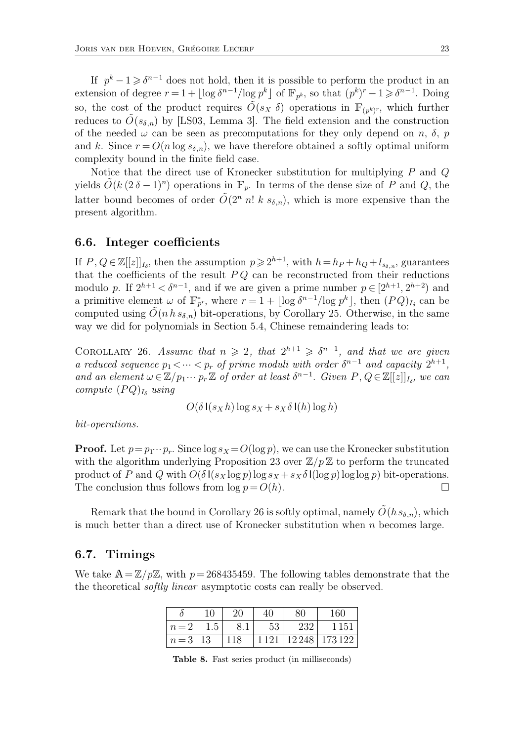If  $p^k - 1 \geq \delta^{n-1}$  does not hold, then it is possible to perform the product in an extension of degree  $r = 1 + \lfloor \log \delta^{n-1} / \log p^k \rfloor$  of  $\mathbb{F}_{p^k}$ , so that  $(p^k)^r - 1 \geq \delta^{n-1}$ . Doing so, the cost of the product requires  $\tilde{O}(s_X \delta)$  operations in  $\mathbb{F}_{(p^k)^r}$ , which further reduces to  $\tilde{O}(s_{\delta,n})$  by [LS03, Lemma 3]. The field extension and the construction of the needed  $\omega$  can be seen as precomputations for they only depend on n,  $\delta$ , p and k. Since  $r = O(n \log s_{\delta,n})$ , we have therefore obtained a softly optimal uniform complexity bound in the finite field case.

Notice that the direct use of Kronecker substitution for multiplying P and Q yields  $\tilde{O}(k (2 \delta - 1)^n)$  operations in  $\mathbb{F}_p$ . In terms of the dense size of P and Q, the latter bound becomes of order  $\tilde{O}(2^n n! k s_{\delta,n})$ , which is more expensive than the present algorithm.

#### **6.6. Integer coefficients**

If  $P, Q \in \mathbb{Z}[[z]]_{I_{\delta}},$  then the assumption  $p \geq 2^{h+1}$ , with  $h = h_P + h_Q + l_{s_{\delta,n}},$  guarantees that the coefficients of the result  $PQ$  can be reconstructed from their reductions modulo p. If  $2^{h+1} < \delta^{n-1}$ , and if we are given a prime number  $p \in [2^{h+1}, 2^{h+2})$  and a primitive element  $\omega$  of  $\mathbb{F}_{p^r}^*$ , where  $r = 1 + \lfloor \log \delta^{n-1} / \log p^k \rfloor$ , then  $(PQ)_{I_\delta}$  can be computed using  $O(n h s_{\delta,n})$  bit-operations, by Corollary 25. Otherwise, in the same way we did for polynomials in Section 5.4, Chinese remaindering leads to:

COROLLARY 26. Assume that  $n \geq 2$ , that  $2^{h+1} \geq \delta^{n-1}$ , and that we are given *a reduced sequence*  $p_1 < \cdots < p_r$  *of prime moduli with order*  $\delta^{n-1}$  *and capacity*  $2^{h+1}$ *,* and an element  $\omega \in \mathbb{Z}/p_1 \cdots p_r \mathbb{Z}$  of order at least  $\delta^{n-1}$ . Given  $P, Q \in \mathbb{Z}[[z]]_{I_{\delta}},$  we can *compute*  $(PQ)_{I_{\delta}}$  *using* 

$$
O(\delta \mathsf{I}(s_X h) \log s_X + s_X \delta \mathsf{I}(h) \log h)
$$

*bit-operations.*

**Proof.** Let  $p = p_1 \cdots p_r$ . Since  $\log s_X = O(\log p)$ , we can use the Kronecker substitution with the algorithm underlying Proposition 23 over  $\mathbb{Z}/p\mathbb{Z}$  to perform the truncated product of P and Q with  $O(\delta \mathbf{I}(s_X \log p) \log s_X + s_X \delta \mathbf{I}(\log p) \log \log p)$  bit-operations. The conclusion thus follows from  $\log p = O(h)$ .

Remark that the bound in Corollary 26 is softly optimal, namely  $\tilde{O}(h s_{\delta,n})$ , which is much better than a direct use of Kronecker substitution when  $n$  becomes large.

### **6.7. Timings**

We take  $A=\mathbb{Z}/p\mathbb{Z}$ , with  $p=268435459$ . The following tables demonstrate that the the theoretical *softly linear* asymptotic costs can really be observed.

|                 | 10  | 20  | 40 | 80  | 160                               |
|-----------------|-----|-----|----|-----|-----------------------------------|
| $n=2$           | 1.5 | 8.1 | 53 | 232 | 1151                              |
| $n = 3 \mid 13$ |     | 118 |    |     | 1 1 2 1   1 2 2 4 8   1 7 3 1 2 2 |

**Table 8.** Fast series product (in milliseconds)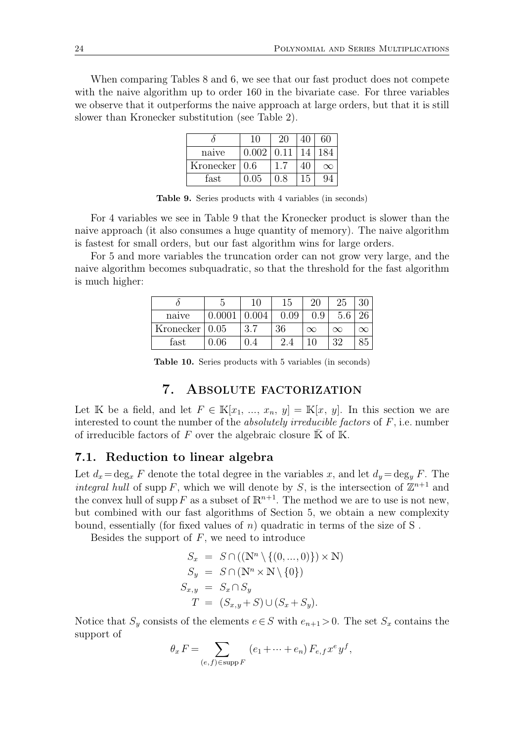When comparing Tables 8 and 6, we see that our fast product does not compete with the naive algorithm up to order 160 in the bivariate case. For three variables we observe that it outperforms the naive approach at large orders, but that it is still slower than Kronecker substitution (see Table 2).

|                       | 10    | 20   | 60       |
|-----------------------|-------|------|----------|
| naive                 | 0.002 | 0.11 | 184      |
| Kronecker $\vert 0.6$ |       |      | $\infty$ |
| fast                  | 0.05  | 0 8  |          |

**Table 9.** Series products with 4 variables (in seconds)

For 4 variables we see in Table 9 that the Kronecker product is slower than the naive approach (it also consumes a huge quantity of memory). The naive algorithm is fastest for small orders, but our fast algorithm wins for large orders.

For 5 and more variables the truncation order can not grow very large, and the naive algorithm becomes subquadratic, so that the threshold for the fast algorithm is much higher:

|           |      |            | 15       | ാ∩        | 25       |  |
|-----------|------|------------|----------|-----------|----------|--|
| naive     |      | .004       | 0.09     | Q<br>ر, , | 5.6      |  |
| Kronecker | 0.05 | 27<br>ಲ. I | 36       | $\infty$  | $\infty$ |  |
| fast      | 06   |            | റ<br>2.4 |           | 20       |  |

**Table 10.** Series products with 5 variables (in seconds)

# 7. Absolute factorization

Let K be a field, and let  $F \in \mathbb{K}[x_1, ..., x_n, y] = \mathbb{K}[x, y]$ . In this section we are interested to count the number of the *absolutely irreducible factors* of F, i.e. number of irreducible factors of F over the algebraic closure  $\overline{K}$  of K.

### **7.1. Reduction to linear algebra**

Let  $d_x = \deg_x F$  denote the total degree in the variables x, and let  $d_y = \deg_y F$ . The *integral hull* of supp F, which we will denote by S, is the intersection of  $\mathbb{Z}^{n+1}$  and the convex hull of supp F as a subset of  $\mathbb{R}^{n+1}$ . The method we are to use is not new, but combined with our fast algorithms of Section 5, we obtain a new complexity bound, essentially (for fixed values of n) quadratic in terms of the size of S.

Besides the support of  $F$ , we need to introduce

$$
S_x = S \cap ((\mathbb{N}^n \setminus \{(0, ..., 0)\}) \times \mathbb{N})
$$
  
\n
$$
S_y = S \cap (\mathbb{N}^n \times \mathbb{N} \setminus \{0\})
$$
  
\n
$$
S_{x,y} = S_x \cap S_y
$$
  
\n
$$
T = (S_{x,y} + S) \cup (S_x + S_y).
$$

Notice that  $S_y$  consists of the elements  $e \in S$  with  $e_{n+1} > 0$ . The set  $S_x$  contains the support of

$$
\theta_x F = \sum_{(e,f) \in \text{supp } F} (e_1 + \dots + e_n) F_{e,f} x^e y^f,
$$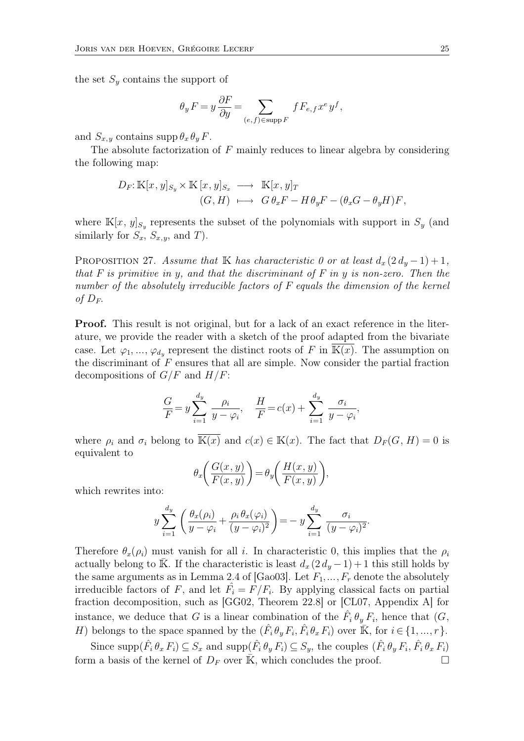the set  $S<sub>y</sub>$  contains the support of

$$
\theta_y F = y \frac{\partial F}{\partial y} = \sum_{(e,f) \in \text{supp } F} f F_{e,f} x^e y^f,
$$

and  $S_{x,y}$  contains supp  $\theta_x \theta_y F$ .

The absolute factorization of  $F$  mainly reduces to linear algebra by considering the following map:

$$
D_F: \mathbb{K}[x, y]_{S_y} \times \mathbb{K}[x, y]_{S_x} \longrightarrow \mathbb{K}[x, y]_T
$$
  
\n
$$
(G, H) \longmapsto G \theta_x F - H \theta_y F - (\theta_x G - \theta_y H) F,
$$

where  $\mathbb{K}[x, y]_{S_y}$  represents the subset of the polynomials with support in  $S_y$  (and similarly for  $S_x$ ,  $S_{x,y}$ , and T).

PROPOSITION 27. *Assume that* K *has characteristic 0 or at least*  $d_x(2d_y-1)+1$ , *that* F *is primitive in* y*, and that the discriminant of* F *in* y *is non-zero. Then the number of the absolutely irreducible factors of* F *equals the dimension of the kernel of*  $D_F$ .

**Proof.** This result is not original, but for a lack of an exact reference in the literature, we provide the reader with a sketch of the proof adapted from the bivariate case. Let  $\varphi_1, ..., \varphi_{d_y}$  represent the distinct roots of F in K(x). The assumption on the discriminant of  $F$  ensures that all are simple. Now consider the partial fraction decompositions of  $G/F$  and  $H/F$ :

$$
\frac{G}{F} = y \sum_{i=1}^{d_y} \frac{\rho_i}{y - \varphi_i}, \quad \frac{H}{F} = c(x) + \sum_{i=1}^{d_y} \frac{\sigma_i}{y - \varphi_i},
$$

where  $\rho_i$  and  $\sigma_i$  belong to  $\overline{\mathbb{K}(x)}$  and  $c(x) \in \mathbb{K}(x)$ . The fact that  $D_F(G, H) = 0$  is equivalent to

$$
\theta_x \bigg( \frac{G(x, y)}{F(x, y)} \bigg) = \theta_y \bigg( \frac{H(x, y)}{F(x, y)} \bigg),
$$

which rewrites into:

$$
y\sum_{i=1}^{d_y}\left(\frac{\theta_x(\rho_i)}{y-\varphi_i}+\frac{\rho_i\theta_x(\varphi_i)}{(y-\varphi_i)^2}\right)=-y\sum_{i=1}^{d_y}\frac{\sigma_i}{(y-\varphi_i)^2}.
$$

Therefore  $\theta_x(\rho_i)$  must vanish for all i. In characteristic 0, this implies that the  $\rho_i$ actually belong to K. If the characteristic is least  $d_x(2 d_y - 1) + 1$  this still holds by the same arguments as in Lemma 2.4 of [Gao03]. Let  $F_1, ..., F_r$  denote the absolutely irreducible factors of F, and let  $\hat{F}_i = \hat{F}/F_i$ . By applying classical facts on partial fraction decomposition, such as [GG02, Theorem 22.8] or [CL07, Appendix A] for instance, we deduce that G is a linear combination of the  $\hat{F}_i \theta_y F_i$ , hence that  $(G, \theta_y)$ H) belongs to the space spanned by the  $(\hat{F}_i \theta_y F_i, \hat{F}_i \theta_x F_i)$  over  $\mathbb{K}$ , for  $i \in \{1, ..., r\}$ .

Since  $\text{supp}(\hat{F}_i \theta_x F_i) \subseteq S_x$  and  $\text{supp}(\hat{F}_i \theta_y F_i) \subseteq S_y$ , the couples  $(\hat{F}_i \theta_y F_i, \hat{F}_i \theta_x F_i)$ form a basis of the kernel of  $D_F$  over  $\overline{K}$ , which concludes the proof.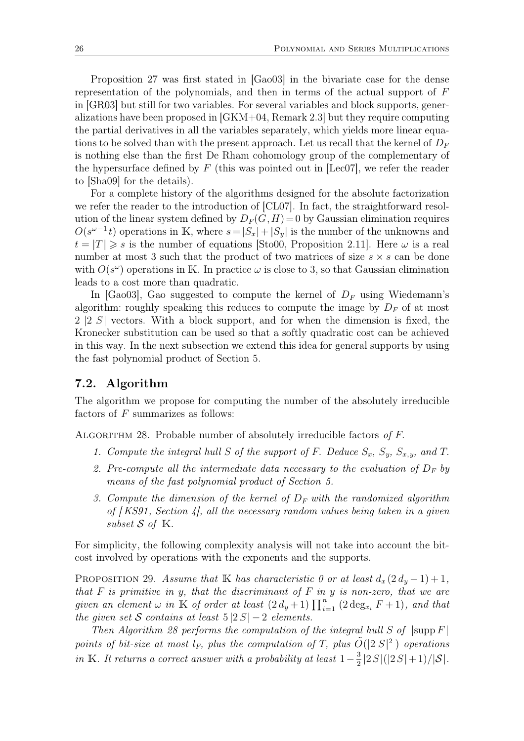Proposition 27 was first stated in [Gao03] in the bivariate case for the dense representation of the polynomials, and then in terms of the actual support of F in [GR03] but still for two variables. For several variables and block supports, generalizations have been proposed in [GKM+04, Remark 2.3] but they require computing the partial derivatives in all the variables separately, which yields more linear equations to be solved than with the present approach. Let us recall that the kernel of  $D_F$ is nothing else than the first De Rham cohomology group of the complementary of the hypersurface defined by  $F$  (this was pointed out in [Lec07], we refer the reader to [Sha09] for the details).

For a complete history of the algorithms designed for the absolute factorization we refer the reader to the introduction of [CL07]. In fact, the straightforward resolution of the linear system defined by  $D_F(G,H) = 0$  by Gaussian elimination requires  $O(s^{\omega-1}t)$  operations in K, where  $s=|S_x|+|S_y|$  is the number of the unknowns and  $t = |T| \geq s$  is the number of equations [Sto00, Proposition 2.11]. Here  $\omega$  is a real number at most 3 such that the product of two matrices of size  $s \times s$  can be done with  $O(s^{\omega})$  operations in K. In practice  $\omega$  is close to 3, so that Gaussian elimination leads to a cost more than quadratic.

In [Gao03], Gao suggested to compute the kernel of  $D_F$  using Wiedemann's algorithm: roughly speaking this reduces to compute the image by  $D_F$  of at most 2 |2 S| vectors. With a block support, and for when the dimension is fixed, the Kronecker substitution can be used so that a softly quadratic cost can be achieved in this way. In the next subsection we extend this idea for general supports by using the fast polynomial product of Section 5.

### **7.2. Algorithm**

The algorithm we propose for computing the number of the absolutely irreducible factors of  $F$  summarizes as follows:

ALGORITHM 28. Probable number of absolutely irreducible factors of F.

- *1. Compute the integral hull* S of the support of F. Deduce  $S_x$ ,  $S_y$ ,  $S_{x,y}$ , and T.
- 2. Pre-compute all the intermediate data necessary to the evaluation of  $D_F$  by *means of the fast polynomial product of Section 5.*
- *3. Compute the dimension of the kernel of*  $D_F$  *with the randomized algorithm of [ KS91, Section 4], all the necessary random values being taken in a given subset*  $S$  *of*  $K$ *.*

For simplicity, the following complexity analysis will not take into account the bitcost involved by operations with the exponents and the supports.

PROPOSITION 29. *Assume that* K *has characteristic 0 or at least*  $d_x(2d_y-1)+1$ , *that* F *is primitive in* y*, that the discriminant of* F *in* y *is non-zero, that we are given an element*  $\omega$  *in*  $\mathbb{K}$  *of order at least*  $(2 d_y + 1) \prod_{i=1}^n$  $\sum_{i=1}^{n} (2 \deg_{x_i} F + 1)$ *, and that the given set* S *contains at least*  $5 \, |2S| - 2$  *elements.* 

*Then Algorithm 28 performs the computation of the integral hull*  $S$  of  $|\text{supp } F|$ points of bit-size at most  $l_F$ , plus the computation of T, plus  $\tilde{O}(|2|S|^2)$  operations *in* K*. It returns a correct answer with a probability at least*  $1-\frac{3}{2}$  $\frac{3}{2}$ |2 S|(|2 S|+1)/|S|.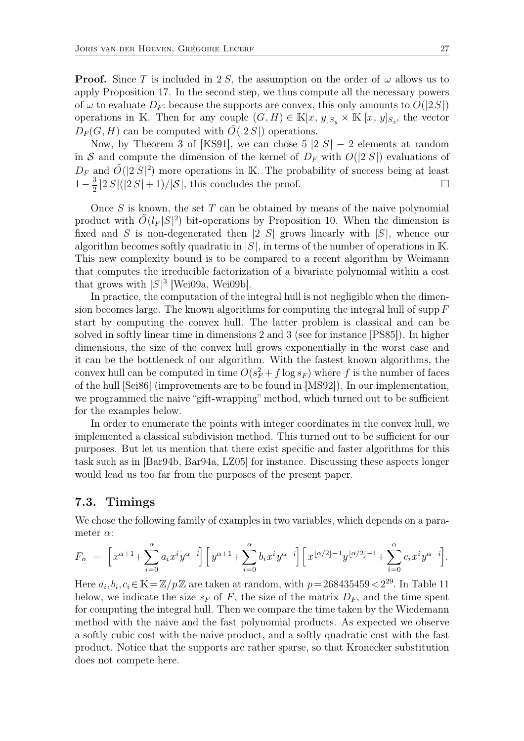**Proof.** Since T is included in 2 S, the assumption on the order of  $\omega$  allows us to apply Proposition 17. In the second step, we thus compute all the necessary powers of  $\omega$  to evaluate  $D_F$ : because the supports are convex, this only amounts to  $O(|2S|)$ operations in K. Then for any couple  $(G, H) \in \mathbb{K}[x, y]_{S_y} \times \mathbb{K}[x, y]_{S_x}$ , the vector  $D_F(G, H)$  can be computed with  $\tilde{O}(|2S|)$  operations.

Now, by Theorem 3 of [KS91], we can chose  $5 \vert 2 \vert S \vert - 2$  elements at random in S and compute the dimension of the kernel of  $D_F$  with  $O(|2S|)$  evaluations of  $D_F$  and  $\tilde{O}(|2S|^2)$  more operations in K. The probability of success being at least  $1-\frac{3}{2}$  $\frac{3}{2}$ |2 S|(|2 S| + 1)/|S|, this concludes the proof.

Once S is known, the set T can be obtained by means of the naive polynomial product with  $\tilde{O}(l_F |S|^2)$  bit-operations by Proposition 10. When the dimension is fixed and S is non-degenerated then |2 S| grows linearly with  $|S|$ , whence our algorithm becomes softly quadratic in  $|S|$ , in terms of the number of operations in K. This new complexity bound is to be compared to a recent algorithm by Weimann that computes the irreducible factorization of a bivariate polynomial within a cost that grows with  $|S|^3$  [Wei09a, Wei09b].

In practice, the computation of the integral hull is not negligible when the dimension becomes large. The known algorithms for computing the integral hull of supp  $F$ start by computing the convex hull. The latter problem is classical and can be solved in softly linear time in dimensions 2 and 3 (see for instance [PS85]). In higher dimensions, the size of the convex hull grows exponentially in the worst case and it can be the bottleneck of our algorithm. With the fastest known algorithms, the convex hull can be computed in time  $O(s_F^2 + f \log s_F)$  where f is the number of faces of the hull [Sei86] (improvements are to be found in [MS92]). In our implementation, we programmed the naive "gift-wrapping" method, which turned out to be sufficient for the examples below.

In order to enumerate the points with integer coordinates in the convex hull, we implemented a classical subdivision method. This turned out to be sufficient for our purposes. But let us mention that there exist specific and faster algorithms for this task such as in [Bar94b, Bar94a, LZ05] for instance. Discussing these aspects longer would lead us too far from the purposes of the present paper.

### **7.3. Timings**

We chose the following family of examples in two variables, which depends on a parameter  $\alpha$ :

$$
F_{\alpha} = \left[x^{\alpha+1} + \sum_{i=0}^{\alpha} a_i x^i y^{\alpha-i}\right] \left[y^{\alpha+1} + \sum_{i=0}^{\alpha} b_i x^i y^{\alpha-i}\right] \left[x^{[\alpha/2]-1} y^{[\alpha/2]-1} + \sum_{i=0}^{\alpha} c_i x^i y^{\alpha-i}\right].
$$

Here  $a_i, b_i, c_i \in \mathbb{K} = \mathbb{Z}/p\mathbb{Z}$  are taken at random, with  $p=268435459 < 2^{29}$ . In Table 11 below, we indicate the size  $s_F$  of F, the size of the matrix  $D_F$ , and the time spent for computing the integral hull. Then we compare the time taken by the Wiedemann method with the naive and the fast polynomial products. As expected we observe a softly cubic cost with the naive product, and a softly quadratic cost with the fast product. Notice that the supports are rather sparse, so that Kronecker substitution does not compete here.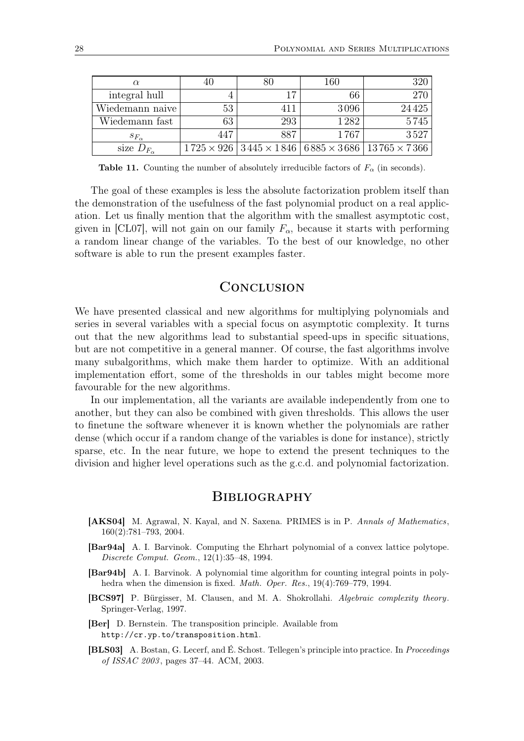|                       |     |     | 160  | 320                                                                               |
|-----------------------|-----|-----|------|-----------------------------------------------------------------------------------|
| integral hull         |     | 17  | 66   | 270                                                                               |
| Wiedemann naive       | 53  |     | 3096 | 24425                                                                             |
| Wiedemann fast        | 63  | 293 | 1282 | 5745                                                                              |
| $s_{F_\alpha}$        | 447 | 887 | 1767 | 3527                                                                              |
| size $D_{F_{\alpha}}$ |     |     |      | $1725 \times 926$   $3445 \times 1846$   $6885 \times 3686$   $13765 \times 7366$ |

**Table 11.** Counting the number of absolutely irreducible factors of  $F_\alpha$  (in seconds).

The goal of these examples is less the absolute factorization problem itself than the demonstration of the usefulness of the fast polynomial product on a real application. Let us finally mention that the algorithm with the smallest asymptotic cost, given in [CL07], will not gain on our family  $F_{\alpha}$ , because it starts with performing a random linear change of the variables. To the best of our knowledge, no other software is able to run the present examples faster.

# **CONCLUSION**

We have presented classical and new algorithms for multiplying polynomials and series in several variables with a special focus on asymptotic complexity. It turns out that the new algorithms lead to substantial speed-ups in specific situations, but are not competitive in a general manner. Of course, the fast algorithms involve many subalgorithms, which make them harder to optimize. With an additional implementation effort, some of the thresholds in our tables might become more favourable for the new algorithms.

In our implementation, all the variants are available independently from one to another, but they can also be combined with given thresholds. This allows the user to finetune the software whenever it is known whether the polynomials are rather dense (which occur if a random change of the variables is done for instance), strictly sparse, etc. In the near future, we hope to extend the present techniques to the division and higher level operations such as the g.c.d. and polynomial factorization.

### **BIBLIOGRAPHY**

- **[AKS04]** M. Agrawal, N. Kayal, and N. Saxena. PRIMES is in P. *Annals of Mathematics*, 160(2):781–793, 2004.
- **[Bar94a]** A. I. Barvinok. Computing the Ehrhart polynomial of a convex lattice polytope. *Discrete Comput. Geom.*, 12(1):35–48, 1994.
- **[Bar94b]** A. I. Barvinok. A polynomial time algorithm for counting integral points in polyhedra when the dimension is fixed. *Math. Oper. Res.*, 19(4):769–779, 1994.
- **[BCS97]** P. Bürgisser, M. Clausen, and M. A. Shokrollahi. *Algebraic complexity theory*. Springer-Verlag, 1997.
- **[Ber]** D. Bernstein. The transposition principle. Available from http://cr.yp.to/transposition.html.
- **[BLS03]** A. Bostan, G. Lecerf, and É. Schost. Tellegen's principle into practice. In *Proceedings of ISSAC 2003* , pages 37–44. ACM, 2003.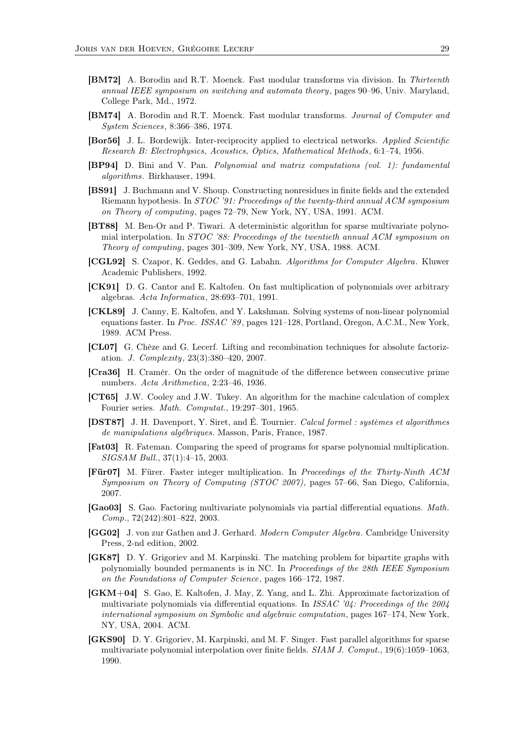- **[BM72]** A. Borodin and R.T. Moenck. Fast modular transforms via division. In *Thirteenth annual IEEE symposium on switching and automata theory*, pages 90–96, Univ. Maryland, College Park, Md., 1972.
- **[BM74]** A. Borodin and R.T. Moenck. Fast modular transforms. *Journal of Computer and System Sciences*, 8:366–386, 1974.
- **[Bor56]** J. L. Bordewijk. Inter-reciprocity applied to electrical networks. *Applied Scientific Research B: Electrophysics, Acoustics, Optics, Mathematical Methods*, 6:1–74, 1956.
- **[BP94]** D. Bini and V. Pan. *Polynomial and matrix computations (vol. 1): fundamental algorithms*. Birkhauser, 1994.
- **[BS91]** J. Buchmann and V. Shoup. Constructing nonresidues in finite fields and the extended Riemann hypothesis. In *STOC '91: Proceedings of the twenty-third annual ACM symposium on Theory of computing*, pages 72–79, New York, NY, USA, 1991. ACM.
- **[BT88]** M. Ben-Or and P. Tiwari. A deterministic algorithm for sparse multivariate polynomial interpolation. In *STOC '88: Proceedings of the twentieth annual ACM symposium on Theory of computing*, pages 301–309, New York, NY, USA, 1988. ACM.
- **[CGL92]** S. Czapor, K. Geddes, and G. Labahn. *Algorithms for Computer Algebra*. Kluwer Academic Publishers, 1992.
- **[CK91]** D. G. Cantor and E. Kaltofen. On fast multiplication of polynomials over arbitrary algebras. *Acta Informatica*, 28:693–701, 1991.
- **[CKL89]** J. Canny, E. Kaltofen, and Y. Lakshman. Solving systems of non-linear polynomial equations faster. In *Proc. ISSAC '89*, pages 121–128, Portland, Oregon, A.C.M., New York, 1989. ACM Press.
- **[CL07]** G. Chèze and G. Lecerf. Lifting and recombination techniques for absolute factorization. *J. Complexity*, 23(3):380–420, 2007.
- **[Cra36]** H. Cramér. On the order of magnitude of the difference between consecutive prime numbers. *Acta Arithmetica*, 2:23–46, 1936.
- **[CT65]** J.W. Cooley and J.W. Tukey. An algorithm for the machine calculation of complex Fourier series. *Math. Computat.*, 19:297–301, 1965.
- **[DST87]** J. H. Davenport, Y. Siret, and É. Tournier. *Calcul formel : systèmes et algorithmes de manipulations algébriques.* Masson, Paris, France, 1987.
- **[Fat03]** R. Fateman. Comparing the speed of programs for sparse polynomial multiplication. *SIGSAM Bull.*, 37(1):4–15, 2003.
- **[Für07]** M. Fürer. Faster integer multiplication. In *Proceedings of the Thirty-Ninth ACM Symposium on Theory of Computing (STOC 2007)*, pages 57–66, San Diego, California, 2007.
- **[Gao03]** S. Gao. Factoring multivariate polynomials via partial differential equations. *Math. Comp.*, 72(242):801–822, 2003.
- **[GG02]** J. von zur Gathen and J. Gerhard. *Modern Computer Algebra*. Cambridge University Press, 2-nd edition, 2002.
- **[GK87]** D. Y. Grigoriev and M. Karpinski. The matching problem for bipartite graphs with polynomially bounded permanents is in NC. In *Proceedings of the 28th IEEE Symposium on the Foundations of Computer Science*, pages 166–172, 1987.
- **[GKM+04]** S. Gao, E. Kaltofen, J. May, Z. Yang, and L. Zhi. Approximate factorization of multivariate polynomials via differential equations. In *ISSAC '04: Proceedings of the 2004 international symposium on Symbolic and algebraic computation*, pages 167–174, New York, NY, USA, 2004. ACM.
- **[GKS90]** D. Y. Grigoriev, M. Karpinski, and M. F. Singer. Fast parallel algorithms for sparse multivariate polynomial interpolation over finite fields. *SIAM J. Comput.*, 19(6):1059–1063, 1990.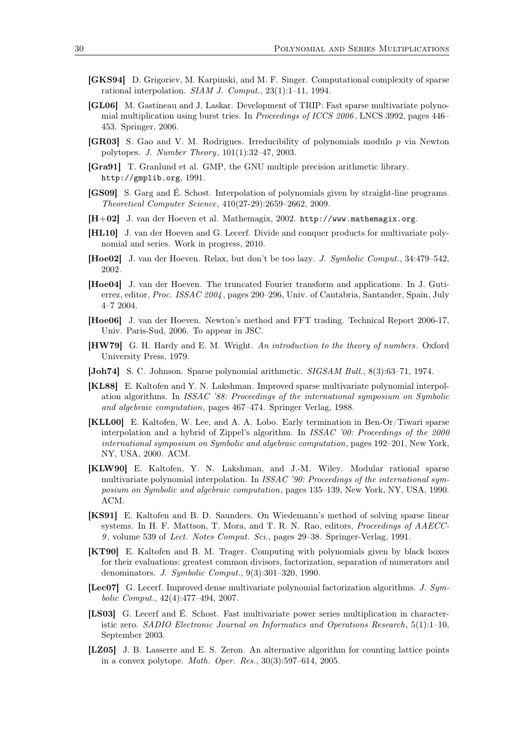- **[GKS94]** D. Grigoriev, M. Karpinski, and M. F. Singer. Computational complexity of sparse rational interpolation. *SIAM J. Comput.*, 23(1):1–11, 1994.
- **[GL06]** M. Gastineau and J. Laskar. Development of TRIP: Fast sparse multivariate polynomial multiplication using burst tries. In *Proceedings of ICCS 2006* , LNCS 3992, pages 446– 453. Springer, 2006.
- **[GR03]** S. Gao and V. M. Rodrigues. Irreducibility of polynomials modulo p via Newton polytopes. *J. Number Theory*, 101(1):32–47, 2003.
- **[Gra91]** T. Granlund et al. GMP, the GNU multiple precision arithmetic library. http://gmplib.org, 1991.
- **[GS09]** S. Garg and É. Schost. Interpolation of polynomials given by straight-line programs. *Theoretical Computer Science*, 410(27-29):2659–2662, 2009.
- **[H+02]** J. van der Hoeven et al. Mathemagix, 2002. http://www.mathemagix.org.
- **[HL10]** J. van der Hoeven and G. Lecerf. Divide and conquer products for multivariate polynomial and series. Work in progress, 2010.
- **[Hoe02]** J. van der Hoeven. Relax, but don't be too lazy. *J. Symbolic Comput.*, 34:479–542, 2002.
- **[Hoe04]** J. van der Hoeven. The truncated Fourier transform and applications. In J. Gutierrez, editor, *Proc. ISSAC 2004* , pages 290–296, Univ. of Cantabria, Santander, Spain, July 4–7 2004.
- **[Hoe06]** J. van der Hoeven. Newton's method and FFT trading. Technical Report 2006-17, Univ. Paris-Sud, 2006. To appear in JSC.
- **[HW79]** G. H. Hardy and E. M. Wright. *An introduction to the theory of numbers*. Oxford University Press, 1979.
- **[Joh74]** S. C. Johnson. Sparse polynomial arithmetic. *SIGSAM Bull.*, 8(3):63–71, 1974.
- **[KL88]** E. Kaltofen and Y. N. Lakshman. Improved sparse multivariate polynomial interpolation algorithms. In *ISSAC '88: Proceedings of the international symposium on Symbolic and algebraic computation*, pages 467–474. Springer Verlag, 1988.
- **[KLL00]** E. Kaltofen, W. Lee, and A. A. Lobo. Early termination in Ben-Or/Tiwari sparse interpolation and a hybrid of Zippel's algorithm. In *ISSAC '00: Proceedings of the 2000 international symposium on Symbolic and algebraic computation*, pages 192–201, New York, NY, USA, 2000. ACM.
- **[KLW90]** E. Kaltofen, Y. N. Lakshman, and J.-M. Wiley. Modular rational sparse multivariate polynomial interpolation. In *ISSAC '90: Proceedings of the international symposium on Symbolic and algebraic computation*, pages 135–139, New York, NY, USA, 1990. ACM.
- **[KS91]** E. Kaltofen and B. D. Saunders. On Wiedemann's method of solving sparse linear systems. In H. F. Mattson, T. Mora, and T. R. N. Rao, editors, *Proceedings of AAECC-9* , volume 539 of *Lect. Notes Comput. Sci.*, pages 29–38. Springer-Verlag, 1991.
- **[KT90]** E. Kaltofen and B. M. Trager. Computing with polynomials given by black boxes for their evaluations: greatest common divisors, factorization, separation of numerators and denominators. *J. Symbolic Comput.*, 9(3):301–320, 1990.
- **[Lec07]** G. Lecerf. Improved dense multivariate polynomial factorization algorithms. *J. Symbolic Comput.*, 42(4):477–494, 2007.
- **[LS03]** G. Lecerf and É. Schost. Fast multivariate power series multiplication in characteristic zero. *SADIO Electronic Journal on Informatics and Operations Research*, 5(1):1–10, September 2003.
- **[LZ05]** J. B. Lasserre and E. S. Zeron. An alternative algorithm for counting lattice points in a convex polytope. *Math. Oper. Res.*, 30(3):597–614, 2005.